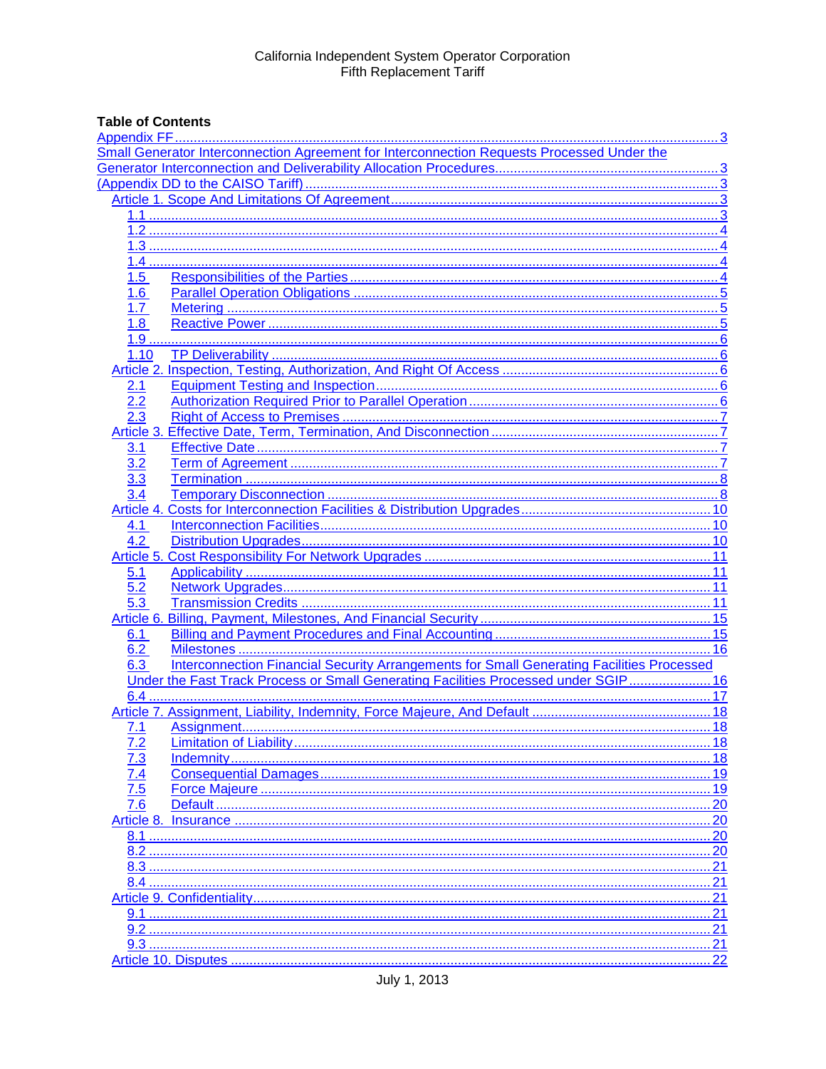# **Table of Contents**

|                         | Small Generator Interconnection Agreement for Interconnection Requests Processed Under the       |     |
|-------------------------|--------------------------------------------------------------------------------------------------|-----|
|                         |                                                                                                  |     |
|                         |                                                                                                  |     |
|                         |                                                                                                  |     |
|                         |                                                                                                  |     |
|                         |                                                                                                  |     |
|                         |                                                                                                  |     |
|                         |                                                                                                  |     |
| 1.5                     |                                                                                                  |     |
| $\overline{\mathbf{6}}$ |                                                                                                  |     |
| 1.7                     |                                                                                                  |     |
| 1.8                     |                                                                                                  |     |
|                         |                                                                                                  |     |
| 1.10                    |                                                                                                  |     |
|                         |                                                                                                  |     |
|                         |                                                                                                  |     |
| 2.1                     |                                                                                                  |     |
| 2.2                     |                                                                                                  |     |
|                         |                                                                                                  |     |
| Article 3.              |                                                                                                  |     |
| 3.1                     |                                                                                                  |     |
| 3.2                     |                                                                                                  |     |
| $\overline{3.3}$        |                                                                                                  |     |
|                         |                                                                                                  |     |
|                         |                                                                                                  |     |
| 4.1                     |                                                                                                  |     |
| 4.2                     |                                                                                                  |     |
|                         |                                                                                                  |     |
| 5.1                     |                                                                                                  |     |
| 5.2                     |                                                                                                  |     |
| 5.3                     |                                                                                                  |     |
|                         |                                                                                                  |     |
| 6.1                     |                                                                                                  |     |
| 6.2                     |                                                                                                  |     |
| 6.3                     | <b>Interconnection Financial Security Arrangements for Small Generating Facilities Processed</b> |     |
|                         | Under the Fast Track Process or Small Generating Facilities Processed under SGIP 16              |     |
|                         |                                                                                                  |     |
|                         |                                                                                                  |     |
| 7.1                     |                                                                                                  |     |
|                         |                                                                                                  |     |
| <u>7.2</u>              |                                                                                                  | 18  |
|                         | Indemnity                                                                                        | 18  |
|                         |                                                                                                  | 19  |
|                         |                                                                                                  | 19  |
|                         |                                                                                                  | 20  |
|                         |                                                                                                  | 20  |
| 8.1                     |                                                                                                  | 20  |
| 8.2                     |                                                                                                  | .20 |
| 8.3                     |                                                                                                  | .21 |
|                         |                                                                                                  | 21  |
|                         |                                                                                                  | 21  |
|                         |                                                                                                  |     |
|                         |                                                                                                  |     |
|                         |                                                                                                  |     |
|                         |                                                                                                  |     |
|                         |                                                                                                  |     |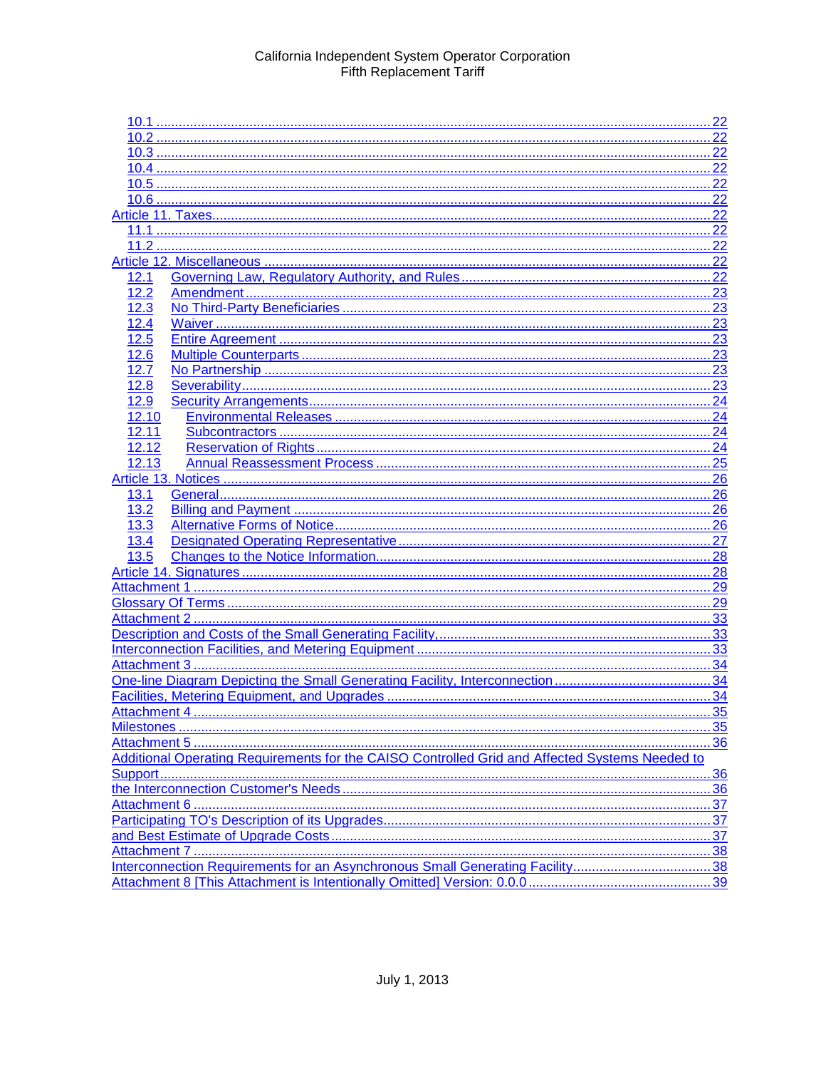|             | . 22                                                                                           |                   |
|-------------|------------------------------------------------------------------------------------------------|-------------------|
|             |                                                                                                |                   |
|             |                                                                                                |                   |
|             | 22                                                                                             |                   |
|             | 22                                                                                             |                   |
|             | 22                                                                                             |                   |
|             | 22                                                                                             |                   |
|             | 22                                                                                             |                   |
|             |                                                                                                |                   |
|             |                                                                                                |                   |
| 12.1        |                                                                                                |                   |
| 12.2        |                                                                                                |                   |
| 12.3        |                                                                                                |                   |
| 12.4        |                                                                                                |                   |
| 12.5        |                                                                                                |                   |
| 12.6        | 23                                                                                             |                   |
| 12.7        |                                                                                                |                   |
| 12.8        |                                                                                                |                   |
| 12.9        |                                                                                                |                   |
| 12.10       |                                                                                                |                   |
| 12.11       |                                                                                                |                   |
|             |                                                                                                |                   |
| 12.12       |                                                                                                |                   |
| 12.13       |                                                                                                |                   |
|             |                                                                                                |                   |
| <u>13.1</u> |                                                                                                |                   |
| 13.2        |                                                                                                |                   |
| 13.3        |                                                                                                |                   |
|             |                                                                                                |                   |
|             |                                                                                                |                   |
|             |                                                                                                |                   |
|             | 29                                                                                             |                   |
|             | 29                                                                                             |                   |
|             |                                                                                                |                   |
|             |                                                                                                |                   |
|             |                                                                                                |                   |
|             |                                                                                                |                   |
|             |                                                                                                |                   |
|             |                                                                                                |                   |
|             |                                                                                                |                   |
|             |                                                                                                | 35                |
|             |                                                                                                | 36                |
|             | Additional Operating Requirements for the CAISO Controlled Grid and Affected Systems Needed to |                   |
|             |                                                                                                |                   |
|             |                                                                                                | <u>.36</u><br>.36 |
|             |                                                                                                |                   |
|             |                                                                                                |                   |
|             |                                                                                                | 37                |
|             |                                                                                                | .37               |
|             |                                                                                                |                   |
|             |                                                                                                |                   |
|             |                                                                                                |                   |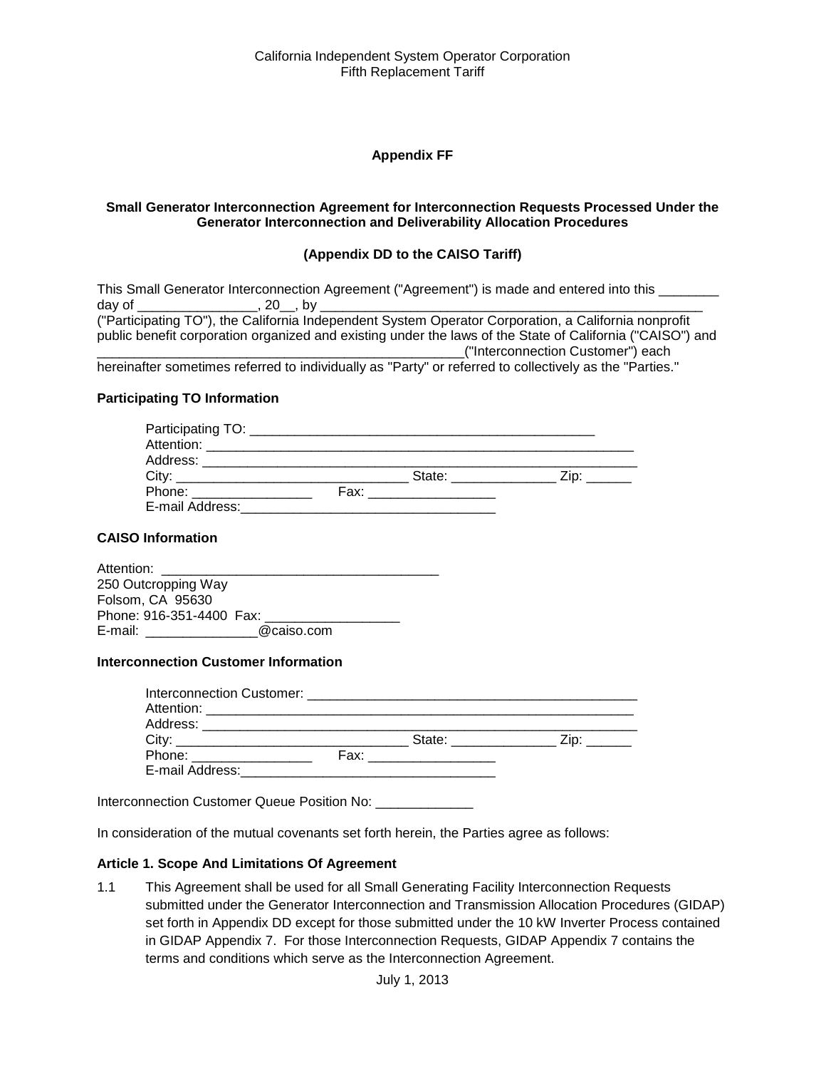#### **Appendix FF**

#### <span id="page-2-2"></span><span id="page-2-1"></span><span id="page-2-0"></span>**Small Generator Interconnection Agreement for Interconnection Requests Processed Under the Generator Interconnection and Deliverability Allocation Procedures**

#### **(Appendix DD to the CAISO Tariff)**

| This Small Generator Interconnection Agreement ("Agreement") is made and entered into this                |  |
|-----------------------------------------------------------------------------------------------------------|--|
| dav of<br>.20 .bv                                                                                         |  |
| ("Participating TO"), the California Independent System Operator Corporation, a California nonprofit      |  |
| public benefit corporation organized and existing under the laws of the State of California ("CAISO") and |  |
| ("Interconnection Customer") each                                                                         |  |
|                                                                                                           |  |

hereinafter sometimes referred to individually as "Party" or referred to collectively as the "Parties."

#### **Participating TO Information**

| Participating TO: ______________                                                                                                                                                                                               |                                                                                                                                                                                                                                |      |  |
|--------------------------------------------------------------------------------------------------------------------------------------------------------------------------------------------------------------------------------|--------------------------------------------------------------------------------------------------------------------------------------------------------------------------------------------------------------------------------|------|--|
|                                                                                                                                                                                                                                |                                                                                                                                                                                                                                |      |  |
| Address: _____________________                                                                                                                                                                                                 |                                                                                                                                                                                                                                |      |  |
| City:                                                                                                                                                                                                                          | State: with the state of the state of the state of the state of the state of the state of the state of the state of the state of the state of the state of the state of the state of the state of the state of the state of th | Zip: |  |
| Phone: the contract of the contract of the contract of the contract of the contract of the contract of the contract of the contract of the contract of the contract of the contract of the contract of the contract of the con | Fax: where the contract of the contract of the contract of the contract of the contract of the contract of the                                                                                                                 |      |  |
| E-mail Address:                                                                                                                                                                                                                |                                                                                                                                                                                                                                |      |  |

#### **CAISO Information**

| Attention:               |            |  |
|--------------------------|------------|--|
| 250 Outcropping Way      |            |  |
| Folsom, CA 95630         |            |  |
| Phone: 916-351-4400 Fax: |            |  |
| E-mail:                  | @caiso.com |  |
|                          |            |  |

#### **Interconnection Customer Information**

|                          | State: The State of the State of the State of the State of the State of the State of the State of the State of the State of the State of the State of the State of the State of the State of the State of the State of the Sta | $\mathsf{Zip:}$ |
|--------------------------|--------------------------------------------------------------------------------------------------------------------------------------------------------------------------------------------------------------------------------|-----------------|
| Phone: _________________ |                                                                                                                                                                                                                                |                 |
| E-mail Address:          | the control of the control of the control of the control of the control of the control of the control of the control of the control of the control of the control of the control of the control of the control of the control  |                 |

Interconnection Customer Queue Position No: \_\_\_\_\_\_\_\_\_\_\_\_\_\_\_\_

In consideration of the mutual covenants set forth herein, the Parties agree as follows:

#### <span id="page-2-3"></span>**Article 1. Scope And Limitations Of Agreement**

<span id="page-2-4"></span>1.1 This Agreement shall be used for all Small Generating Facility Interconnection Requests submitted under the Generator Interconnection and Transmission Allocation Procedures (GIDAP) set forth in Appendix DD except for those submitted under the 10 kW Inverter Process contained in GIDAP Appendix 7. For those Interconnection Requests, GIDAP Appendix 7 contains the terms and conditions which serve as the Interconnection Agreement.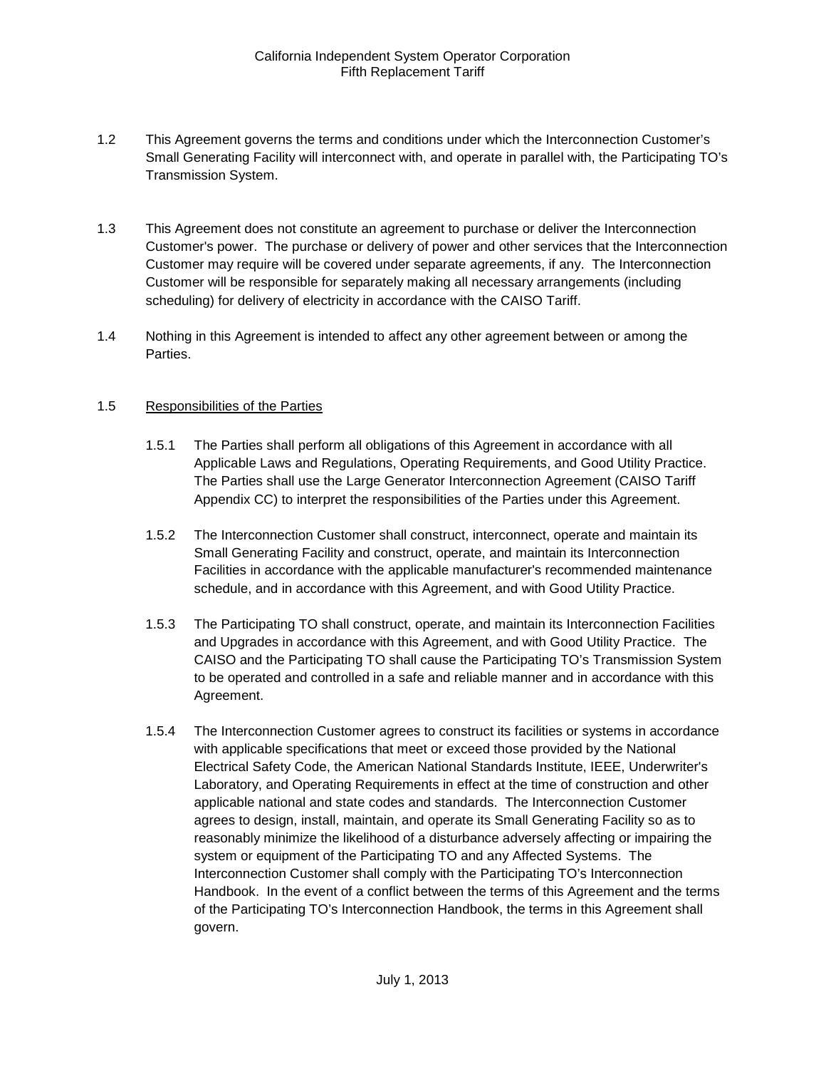- <span id="page-3-0"></span>1.2 This Agreement governs the terms and conditions under which the Interconnection Customer's Small Generating Facility will interconnect with, and operate in parallel with, the Participating TO's Transmission System.
- <span id="page-3-1"></span>1.3 This Agreement does not constitute an agreement to purchase or deliver the Interconnection Customer's power. The purchase or delivery of power and other services that the Interconnection Customer may require will be covered under separate agreements, if any. The Interconnection Customer will be responsible for separately making all necessary arrangements (including scheduling) for delivery of electricity in accordance with the CAISO Tariff.
- <span id="page-3-2"></span>1.4 Nothing in this Agreement is intended to affect any other agreement between or among the Parties.

#### <span id="page-3-3"></span>1.5 Responsibilities of the Parties

- 1.5.1 The Parties shall perform all obligations of this Agreement in accordance with all Applicable Laws and Regulations, Operating Requirements, and Good Utility Practice. The Parties shall use the Large Generator Interconnection Agreement (CAISO Tariff Appendix CC) to interpret the responsibilities of the Parties under this Agreement.
- 1.5.2 The Interconnection Customer shall construct, interconnect, operate and maintain its Small Generating Facility and construct, operate, and maintain its Interconnection Facilities in accordance with the applicable manufacturer's recommended maintenance schedule, and in accordance with this Agreement, and with Good Utility Practice.
- 1.5.3 The Participating TO shall construct, operate, and maintain its Interconnection Facilities and Upgrades in accordance with this Agreement, and with Good Utility Practice. The CAISO and the Participating TO shall cause the Participating TO's Transmission System to be operated and controlled in a safe and reliable manner and in accordance with this Agreement.
- 1.5.4 The Interconnection Customer agrees to construct its facilities or systems in accordance with applicable specifications that meet or exceed those provided by the National Electrical Safety Code, the American National Standards Institute, IEEE, Underwriter's Laboratory, and Operating Requirements in effect at the time of construction and other applicable national and state codes and standards. The Interconnection Customer agrees to design, install, maintain, and operate its Small Generating Facility so as to reasonably minimize the likelihood of a disturbance adversely affecting or impairing the system or equipment of the Participating TO and any Affected Systems. The Interconnection Customer shall comply with the Participating TO's Interconnection Handbook. In the event of a conflict between the terms of this Agreement and the terms of the Participating TO's Interconnection Handbook, the terms in this Agreement shall govern.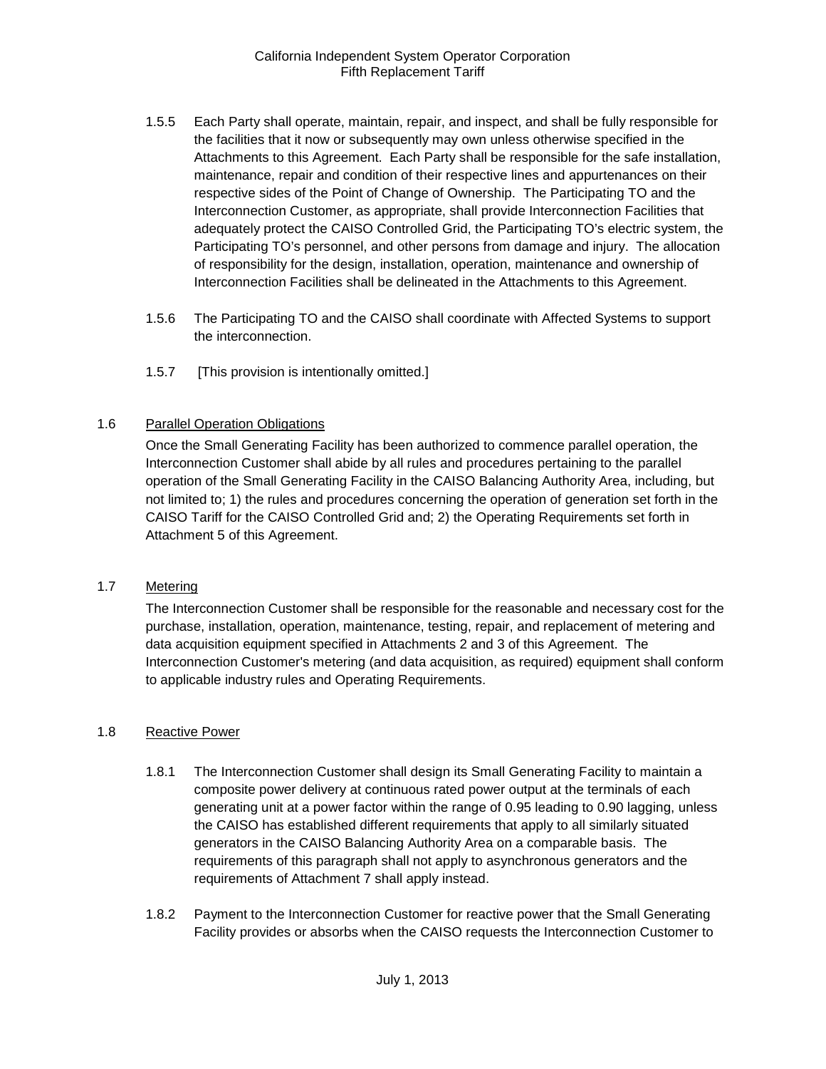- 1.5.5 Each Party shall operate, maintain, repair, and inspect, and shall be fully responsible for the facilities that it now or subsequently may own unless otherwise specified in the Attachments to this Agreement. Each Party shall be responsible for the safe installation, maintenance, repair and condition of their respective lines and appurtenances on their respective sides of the Point of Change of Ownership. The Participating TO and the Interconnection Customer, as appropriate, shall provide Interconnection Facilities that adequately protect the CAISO Controlled Grid, the Participating TO's electric system, the Participating TO's personnel, and other persons from damage and injury. The allocation of responsibility for the design, installation, operation, maintenance and ownership of Interconnection Facilities shall be delineated in the Attachments to this Agreement.
- 1.5.6 The Participating TO and the CAISO shall coordinate with Affected Systems to support the interconnection.
- 1.5.7 [This provision is intentionally omitted.]

#### <span id="page-4-0"></span>1.6 Parallel Operation Obligations

Once the Small Generating Facility has been authorized to commence parallel operation, the Interconnection Customer shall abide by all rules and procedures pertaining to the parallel operation of the Small Generating Facility in the CAISO Balancing Authority Area, including, but not limited to; 1) the rules and procedures concerning the operation of generation set forth in the CAISO Tariff for the CAISO Controlled Grid and; 2) the Operating Requirements set forth in Attachment 5 of this Agreement.

# <span id="page-4-1"></span>1.7 Metering

The Interconnection Customer shall be responsible for the reasonable and necessary cost for the purchase, installation, operation, maintenance, testing, repair, and replacement of metering and data acquisition equipment specified in Attachments 2 and 3 of this Agreement. The Interconnection Customer's metering (and data acquisition, as required) equipment shall conform to applicable industry rules and Operating Requirements.

#### <span id="page-4-2"></span>1.8 Reactive Power

- 1.8.1 The Interconnection Customer shall design its Small Generating Facility to maintain a composite power delivery at continuous rated power output at the terminals of each generating unit at a power factor within the range of 0.95 leading to 0.90 lagging, unless the CAISO has established different requirements that apply to all similarly situated generators in the CAISO Balancing Authority Area on a comparable basis. The requirements of this paragraph shall not apply to asynchronous generators and the requirements of Attachment 7 shall apply instead.
- 1.8.2 Payment to the Interconnection Customer for reactive power that the Small Generating Facility provides or absorbs when the CAISO requests the Interconnection Customer to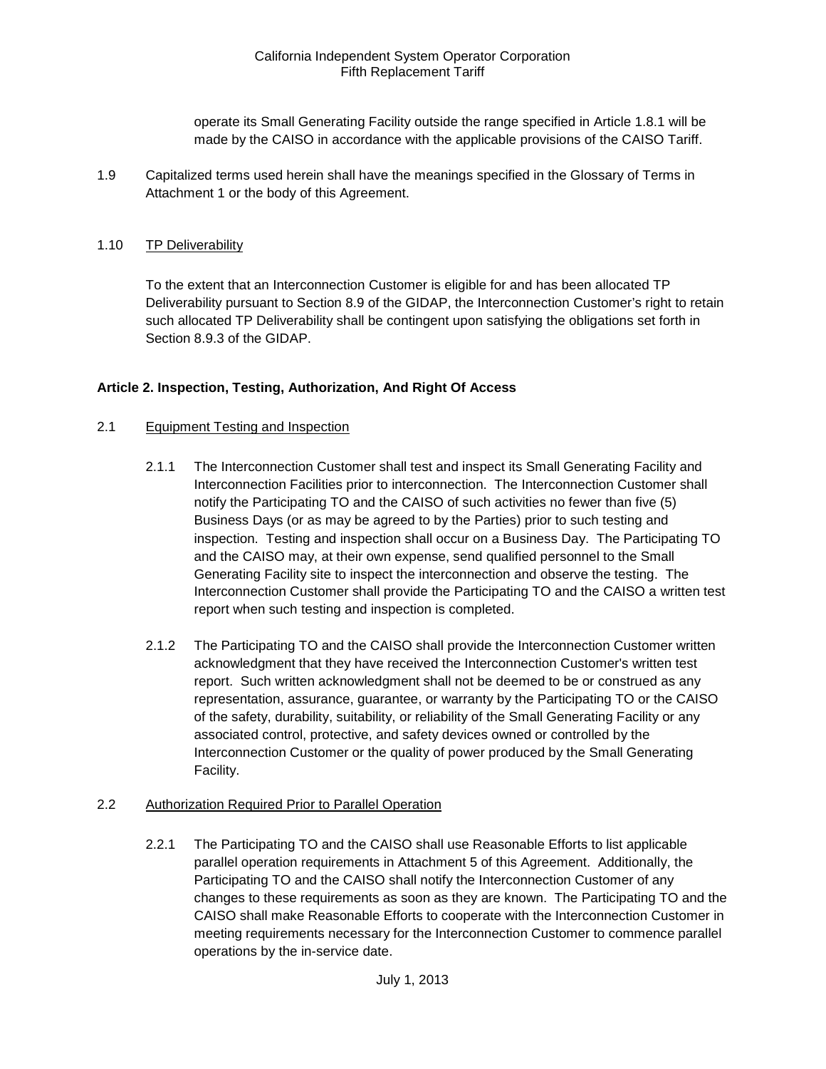operate its Small Generating Facility outside the range specified in Article 1.8.1 will be made by the CAISO in accordance with the applicable provisions of the CAISO Tariff.

<span id="page-5-0"></span>1.9 Capitalized terms used herein shall have the meanings specified in the Glossary of Terms in Attachment 1 or the body of this Agreement.

#### <span id="page-5-1"></span>1.10 TP Deliverability

To the extent that an Interconnection Customer is eligible for and has been allocated TP Deliverability pursuant to Section 8.9 of the GIDAP, the Interconnection Customer's right to retain such allocated TP Deliverability shall be contingent upon satisfying the obligations set forth in Section 8.9.3 of the GIDAP.

#### <span id="page-5-2"></span>**Article 2. Inspection, Testing, Authorization, And Right Of Access**

#### <span id="page-5-3"></span>2.1 Equipment Testing and Inspection

- 2.1.1 The Interconnection Customer shall test and inspect its Small Generating Facility and Interconnection Facilities prior to interconnection. The Interconnection Customer shall notify the Participating TO and the CAISO of such activities no fewer than five (5) Business Days (or as may be agreed to by the Parties) prior to such testing and inspection. Testing and inspection shall occur on a Business Day. The Participating TO and the CAISO may, at their own expense, send qualified personnel to the Small Generating Facility site to inspect the interconnection and observe the testing. The Interconnection Customer shall provide the Participating TO and the CAISO a written test report when such testing and inspection is completed.
- 2.1.2 The Participating TO and the CAISO shall provide the Interconnection Customer written acknowledgment that they have received the Interconnection Customer's written test report. Such written acknowledgment shall not be deemed to be or construed as any representation, assurance, guarantee, or warranty by the Participating TO or the CAISO of the safety, durability, suitability, or reliability of the Small Generating Facility or any associated control, protective, and safety devices owned or controlled by the Interconnection Customer or the quality of power produced by the Small Generating Facility.

#### <span id="page-5-4"></span>2.2 Authorization Required Prior to Parallel Operation

2.2.1 The Participating TO and the CAISO shall use Reasonable Efforts to list applicable parallel operation requirements in Attachment 5 of this Agreement. Additionally, the Participating TO and the CAISO shall notify the Interconnection Customer of any changes to these requirements as soon as they are known. The Participating TO and the CAISO shall make Reasonable Efforts to cooperate with the Interconnection Customer in meeting requirements necessary for the Interconnection Customer to commence parallel operations by the in-service date.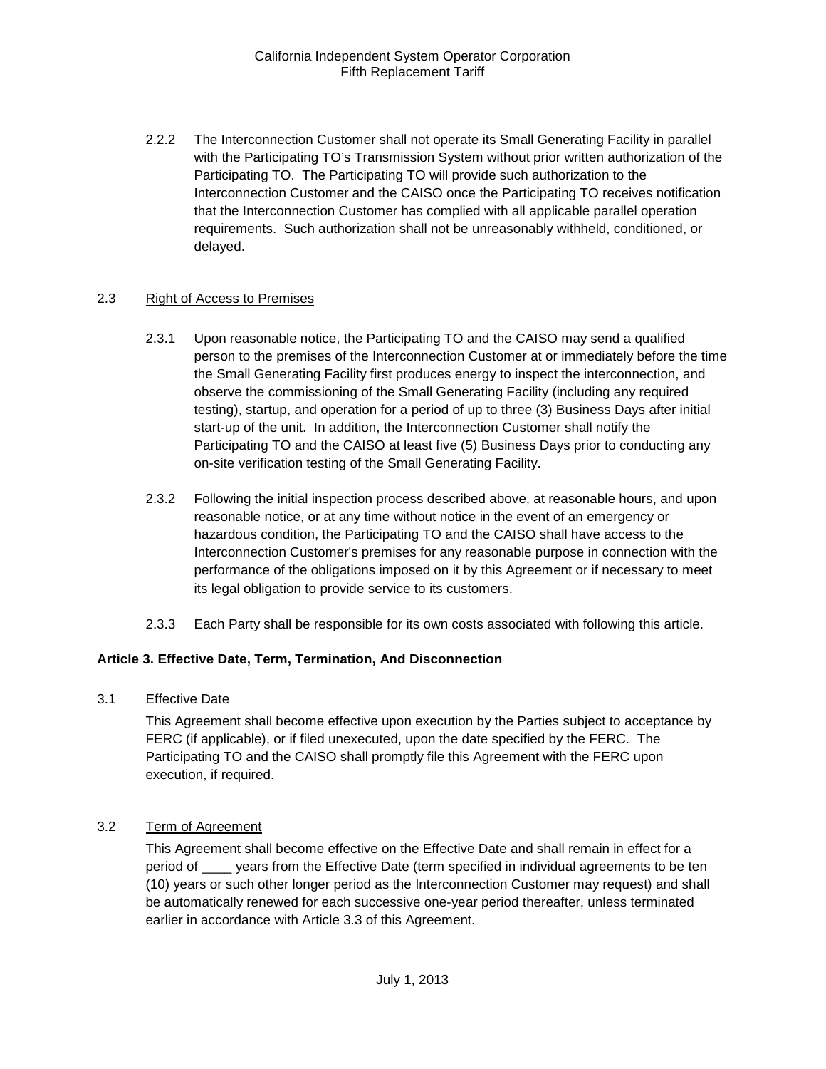2.2.2 The Interconnection Customer shall not operate its Small Generating Facility in parallel with the Participating TO's Transmission System without prior written authorization of the Participating TO. The Participating TO will provide such authorization to the Interconnection Customer and the CAISO once the Participating TO receives notification that the Interconnection Customer has complied with all applicable parallel operation requirements. Such authorization shall not be unreasonably withheld, conditioned, or delayed.

#### <span id="page-6-0"></span>2.3 Right of Access to Premises

- 2.3.1 Upon reasonable notice, the Participating TO and the CAISO may send a qualified person to the premises of the Interconnection Customer at or immediately before the time the Small Generating Facility first produces energy to inspect the interconnection, and observe the commissioning of the Small Generating Facility (including any required testing), startup, and operation for a period of up to three (3) Business Days after initial start-up of the unit. In addition, the Interconnection Customer shall notify the Participating TO and the CAISO at least five (5) Business Days prior to conducting any on-site verification testing of the Small Generating Facility.
- 2.3.2 Following the initial inspection process described above, at reasonable hours, and upon reasonable notice, or at any time without notice in the event of an emergency or hazardous condition, the Participating TO and the CAISO shall have access to the Interconnection Customer's premises for any reasonable purpose in connection with the performance of the obligations imposed on it by this Agreement or if necessary to meet its legal obligation to provide service to its customers.
- 2.3.3 Each Party shall be responsible for its own costs associated with following this article.

#### <span id="page-6-1"></span>**Article 3. Effective Date, Term, Termination, And Disconnection**

<span id="page-6-2"></span>3.1 Effective Date

This Agreement shall become effective upon execution by the Parties subject to acceptance by FERC (if applicable), or if filed unexecuted, upon the date specified by the FERC. The Participating TO and the CAISO shall promptly file this Agreement with the FERC upon execution, if required.

#### <span id="page-6-3"></span>3.2 Term of Agreement

This Agreement shall become effective on the Effective Date and shall remain in effect for a period of \_\_\_\_ years from the Effective Date (term specified in individual agreements to be ten (10) years or such other longer period as the Interconnection Customer may request) and shall be automatically renewed for each successive one-year period thereafter, unless terminated earlier in accordance with Article 3.3 of this Agreement.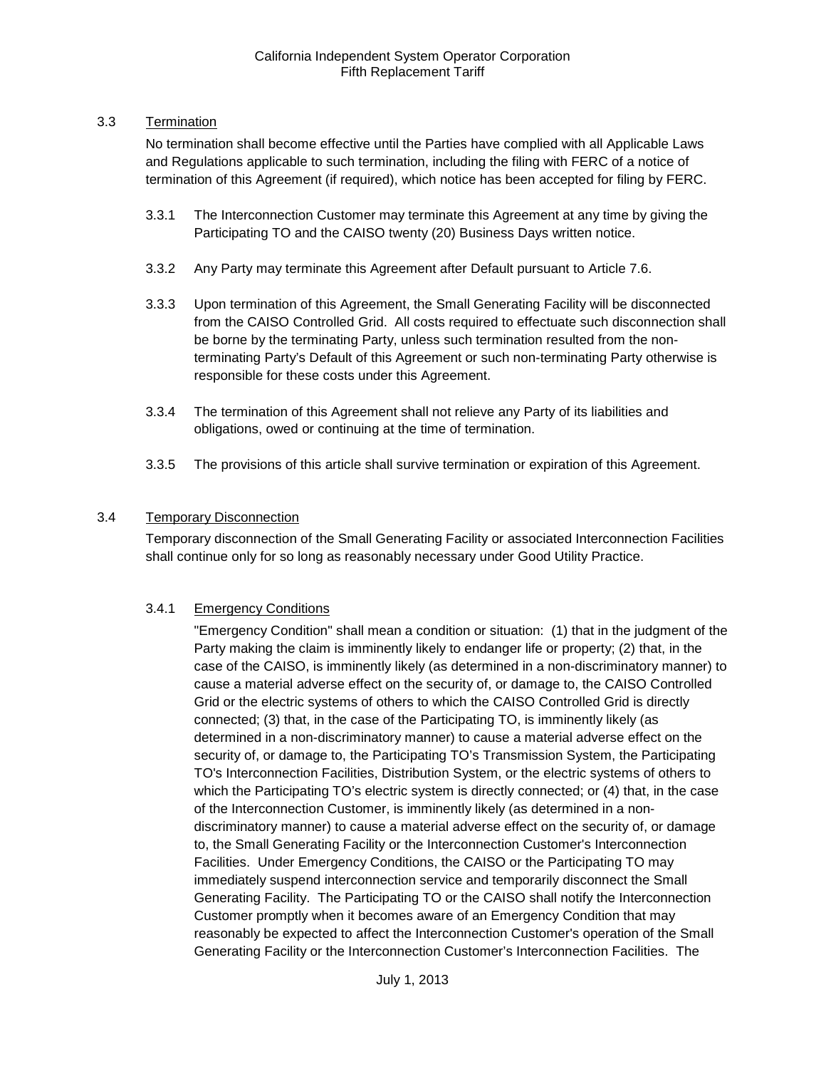### <span id="page-7-0"></span>3.3 Termination

No termination shall become effective until the Parties have complied with all Applicable Laws and Regulations applicable to such termination, including the filing with FERC of a notice of termination of this Agreement (if required), which notice has been accepted for filing by FERC.

- 3.3.1 The Interconnection Customer may terminate this Agreement at any time by giving the Participating TO and the CAISO twenty (20) Business Days written notice.
- 3.3.2 Any Party may terminate this Agreement after Default pursuant to Article 7.6.
- 3.3.3 Upon termination of this Agreement, the Small Generating Facility will be disconnected from the CAISO Controlled Grid. All costs required to effectuate such disconnection shall be borne by the terminating Party, unless such termination resulted from the nonterminating Party's Default of this Agreement or such non-terminating Party otherwise is responsible for these costs under this Agreement.
- 3.3.4 The termination of this Agreement shall not relieve any Party of its liabilities and obligations, owed or continuing at the time of termination.
- 3.3.5 The provisions of this article shall survive termination or expiration of this Agreement.

# <span id="page-7-1"></span>3.4 Temporary Disconnection

Temporary disconnection of the Small Generating Facility or associated Interconnection Facilities shall continue only for so long as reasonably necessary under Good Utility Practice.

# 3.4.1 Emergency Conditions

"Emergency Condition" shall mean a condition or situation: (1) that in the judgment of the Party making the claim is imminently likely to endanger life or property; (2) that, in the case of the CAISO, is imminently likely (as determined in a non-discriminatory manner) to cause a material adverse effect on the security of, or damage to, the CAISO Controlled Grid or the electric systems of others to which the CAISO Controlled Grid is directly connected; (3) that, in the case of the Participating TO, is imminently likely (as determined in a non-discriminatory manner) to cause a material adverse effect on the security of, or damage to, the Participating TO's Transmission System, the Participating TO's Interconnection Facilities, Distribution System, or the electric systems of others to which the Participating TO's electric system is directly connected; or (4) that, in the case of the Interconnection Customer, is imminently likely (as determined in a nondiscriminatory manner) to cause a material adverse effect on the security of, or damage to, the Small Generating Facility or the Interconnection Customer's Interconnection Facilities. Under Emergency Conditions, the CAISO or the Participating TO may immediately suspend interconnection service and temporarily disconnect the Small Generating Facility. The Participating TO or the CAISO shall notify the Interconnection Customer promptly when it becomes aware of an Emergency Condition that may reasonably be expected to affect the Interconnection Customer's operation of the Small Generating Facility or the Interconnection Customer's Interconnection Facilities. The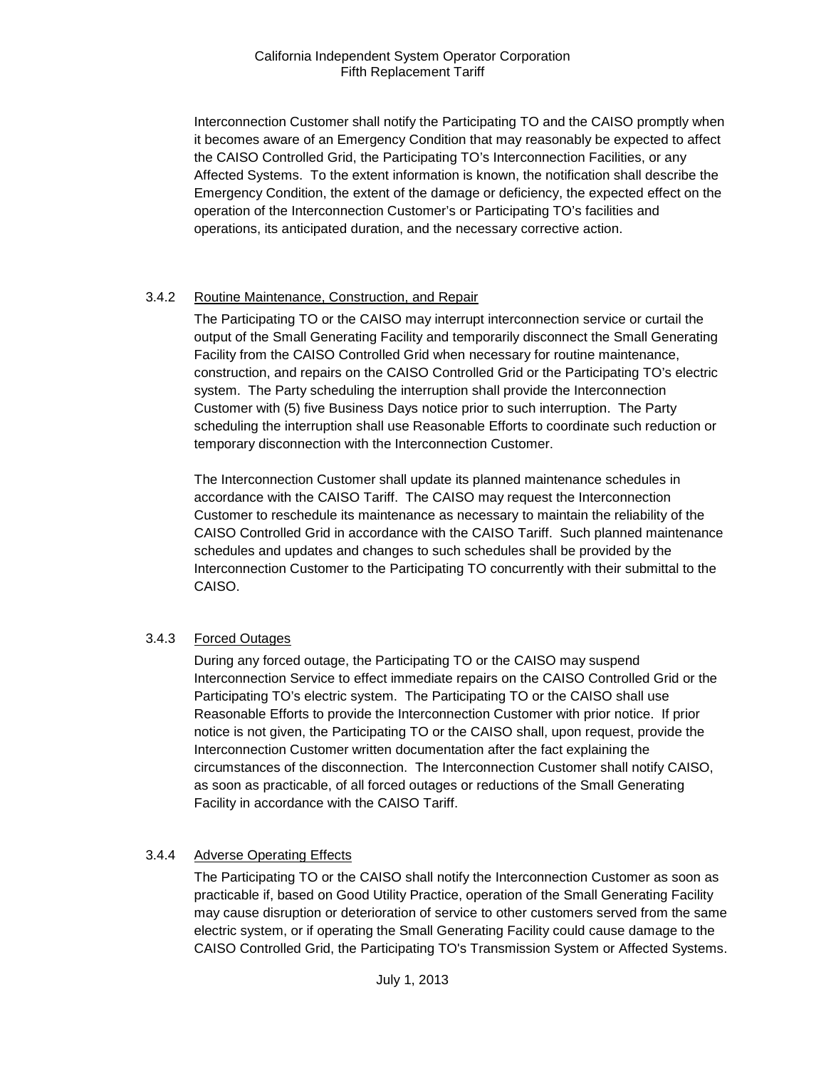Interconnection Customer shall notify the Participating TO and the CAISO promptly when it becomes aware of an Emergency Condition that may reasonably be expected to affect the CAISO Controlled Grid, the Participating TO's Interconnection Facilities, or any Affected Systems. To the extent information is known, the notification shall describe the Emergency Condition, the extent of the damage or deficiency, the expected effect on the operation of the Interconnection Customer's or Participating TO's facilities and operations, its anticipated duration, and the necessary corrective action.

# 3.4.2 Routine Maintenance, Construction, and Repair

The Participating TO or the CAISO may interrupt interconnection service or curtail the output of the Small Generating Facility and temporarily disconnect the Small Generating Facility from the CAISO Controlled Grid when necessary for routine maintenance, construction, and repairs on the CAISO Controlled Grid or the Participating TO's electric system. The Party scheduling the interruption shall provide the Interconnection Customer with (5) five Business Days notice prior to such interruption. The Party scheduling the interruption shall use Reasonable Efforts to coordinate such reduction or temporary disconnection with the Interconnection Customer.

The Interconnection Customer shall update its planned maintenance schedules in accordance with the CAISO Tariff. The CAISO may request the Interconnection Customer to reschedule its maintenance as necessary to maintain the reliability of the CAISO Controlled Grid in accordance with the CAISO Tariff. Such planned maintenance schedules and updates and changes to such schedules shall be provided by the Interconnection Customer to the Participating TO concurrently with their submittal to the CAISO.

# 3.4.3 Forced Outages

During any forced outage, the Participating TO or the CAISO may suspend Interconnection Service to effect immediate repairs on the CAISO Controlled Grid or the Participating TO's electric system. The Participating TO or the CAISO shall use Reasonable Efforts to provide the Interconnection Customer with prior notice. If prior notice is not given, the Participating TO or the CAISO shall, upon request, provide the Interconnection Customer written documentation after the fact explaining the circumstances of the disconnection. The Interconnection Customer shall notify CAISO, as soon as practicable, of all forced outages or reductions of the Small Generating Facility in accordance with the CAISO Tariff.

# 3.4.4 Adverse Operating Effects

The Participating TO or the CAISO shall notify the Interconnection Customer as soon as practicable if, based on Good Utility Practice, operation of the Small Generating Facility may cause disruption or deterioration of service to other customers served from the same electric system, or if operating the Small Generating Facility could cause damage to the CAISO Controlled Grid, the Participating TO's Transmission System or Affected Systems.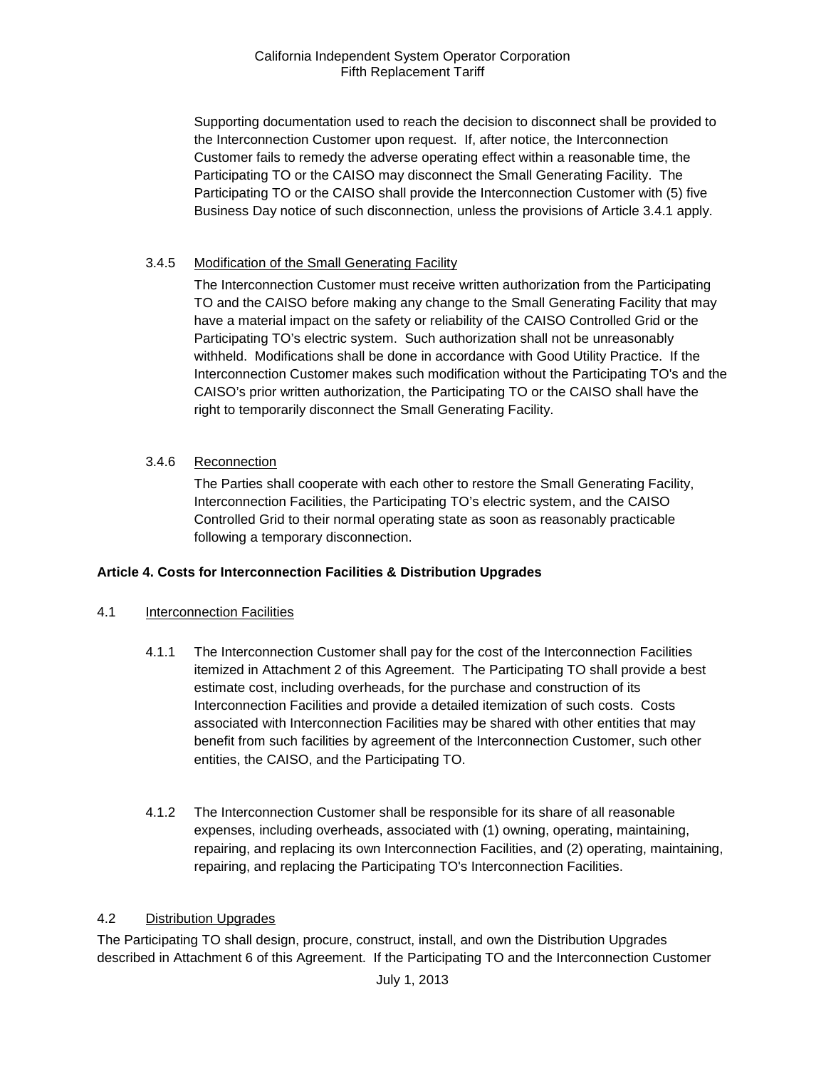Supporting documentation used to reach the decision to disconnect shall be provided to the Interconnection Customer upon request. If, after notice, the Interconnection Customer fails to remedy the adverse operating effect within a reasonable time, the Participating TO or the CAISO may disconnect the Small Generating Facility. The Participating TO or the CAISO shall provide the Interconnection Customer with (5) five Business Day notice of such disconnection, unless the provisions of Article 3.4.1 apply.

# 3.4.5 Modification of the Small Generating Facility

The Interconnection Customer must receive written authorization from the Participating TO and the CAISO before making any change to the Small Generating Facility that may have a material impact on the safety or reliability of the CAISO Controlled Grid or the Participating TO's electric system. Such authorization shall not be unreasonably withheld. Modifications shall be done in accordance with Good Utility Practice. If the Interconnection Customer makes such modification without the Participating TO's and the CAISO's prior written authorization, the Participating TO or the CAISO shall have the right to temporarily disconnect the Small Generating Facility.

# 3.4.6 Reconnection

The Parties shall cooperate with each other to restore the Small Generating Facility, Interconnection Facilities, the Participating TO's electric system, and the CAISO Controlled Grid to their normal operating state as soon as reasonably practicable following a temporary disconnection.

# <span id="page-9-0"></span>**Article 4. Costs for Interconnection Facilities & Distribution Upgrades**

# <span id="page-9-1"></span>4.1 Interconnection Facilities

- 4.1.1 The Interconnection Customer shall pay for the cost of the Interconnection Facilities itemized in Attachment 2 of this Agreement. The Participating TO shall provide a best estimate cost, including overheads, for the purchase and construction of its Interconnection Facilities and provide a detailed itemization of such costs. Costs associated with Interconnection Facilities may be shared with other entities that may benefit from such facilities by agreement of the Interconnection Customer, such other entities, the CAISO, and the Participating TO.
- 4.1.2 The Interconnection Customer shall be responsible for its share of all reasonable expenses, including overheads, associated with (1) owning, operating, maintaining, repairing, and replacing its own Interconnection Facilities, and (2) operating, maintaining, repairing, and replacing the Participating TO's Interconnection Facilities.

#### <span id="page-9-2"></span>4.2 Distribution Upgrades

The Participating TO shall design, procure, construct, install, and own the Distribution Upgrades described in Attachment 6 of this Agreement. If the Participating TO and the Interconnection Customer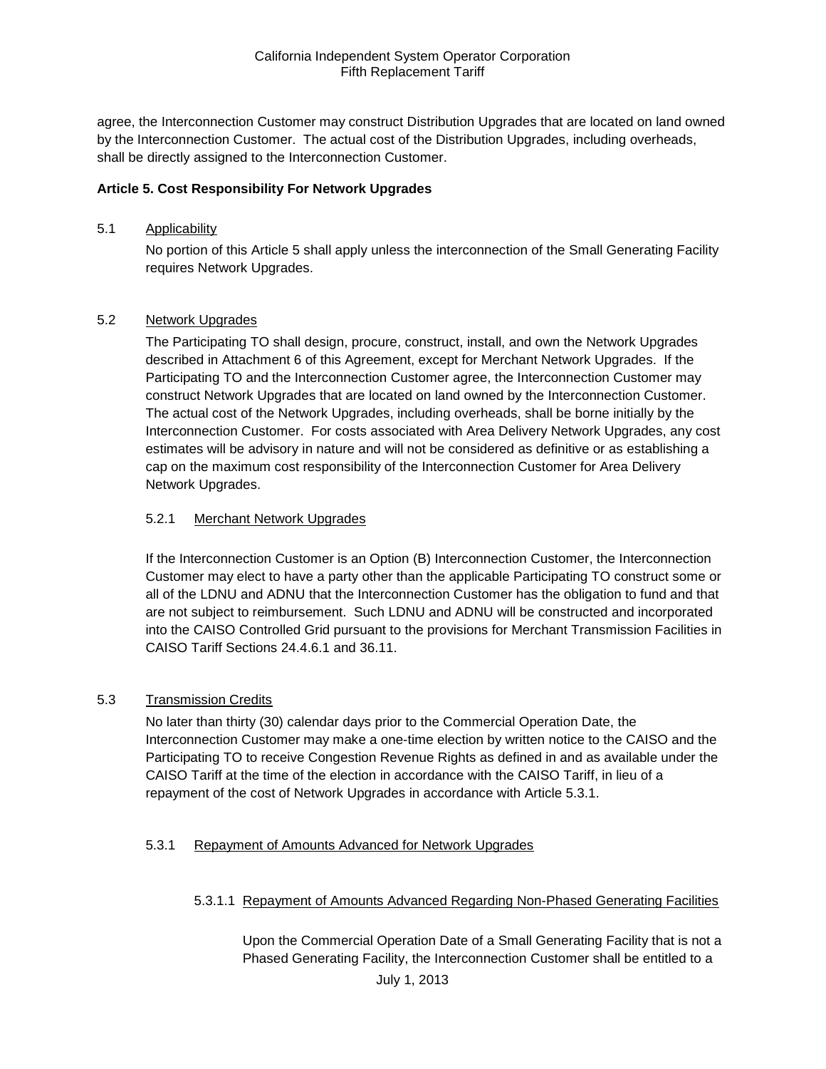agree, the Interconnection Customer may construct Distribution Upgrades that are located on land owned by the Interconnection Customer. The actual cost of the Distribution Upgrades, including overheads, shall be directly assigned to the Interconnection Customer.

### <span id="page-10-0"></span>**Article 5. Cost Responsibility For Network Upgrades**

#### <span id="page-10-1"></span>5.1 Applicability

No portion of this Article 5 shall apply unless the interconnection of the Small Generating Facility requires Network Upgrades.

#### <span id="page-10-2"></span>5.2 Network Upgrades

The Participating TO shall design, procure, construct, install, and own the Network Upgrades described in Attachment 6 of this Agreement, except for Merchant Network Upgrades. If the Participating TO and the Interconnection Customer agree, the Interconnection Customer may construct Network Upgrades that are located on land owned by the Interconnection Customer. The actual cost of the Network Upgrades, including overheads, shall be borne initially by the Interconnection Customer. For costs associated with Area Delivery Network Upgrades, any cost estimates will be advisory in nature and will not be considered as definitive or as establishing a cap on the maximum cost responsibility of the Interconnection Customer for Area Delivery Network Upgrades.

#### 5.2.1 Merchant Network Upgrades

If the Interconnection Customer is an Option (B) Interconnection Customer, the Interconnection Customer may elect to have a party other than the applicable Participating TO construct some or all of the LDNU and ADNU that the Interconnection Customer has the obligation to fund and that are not subject to reimbursement. Such LDNU and ADNU will be constructed and incorporated into the CAISO Controlled Grid pursuant to the provisions for Merchant Transmission Facilities in CAISO Tariff Sections 24.4.6.1 and 36.11.

#### <span id="page-10-3"></span>5.3 Transmission Credits

No later than thirty (30) calendar days prior to the Commercial Operation Date, the Interconnection Customer may make a one-time election by written notice to the CAISO and the Participating TO to receive Congestion Revenue Rights as defined in and as available under the CAISO Tariff at the time of the election in accordance with the CAISO Tariff, in lieu of a repayment of the cost of Network Upgrades in accordance with Article 5.3.1.

#### 5.3.1 Repayment of Amounts Advanced for Network Upgrades

#### 5.3.1.1 Repayment of Amounts Advanced Regarding Non-Phased Generating Facilities

Upon the Commercial Operation Date of a Small Generating Facility that is not a Phased Generating Facility, the Interconnection Customer shall be entitled to a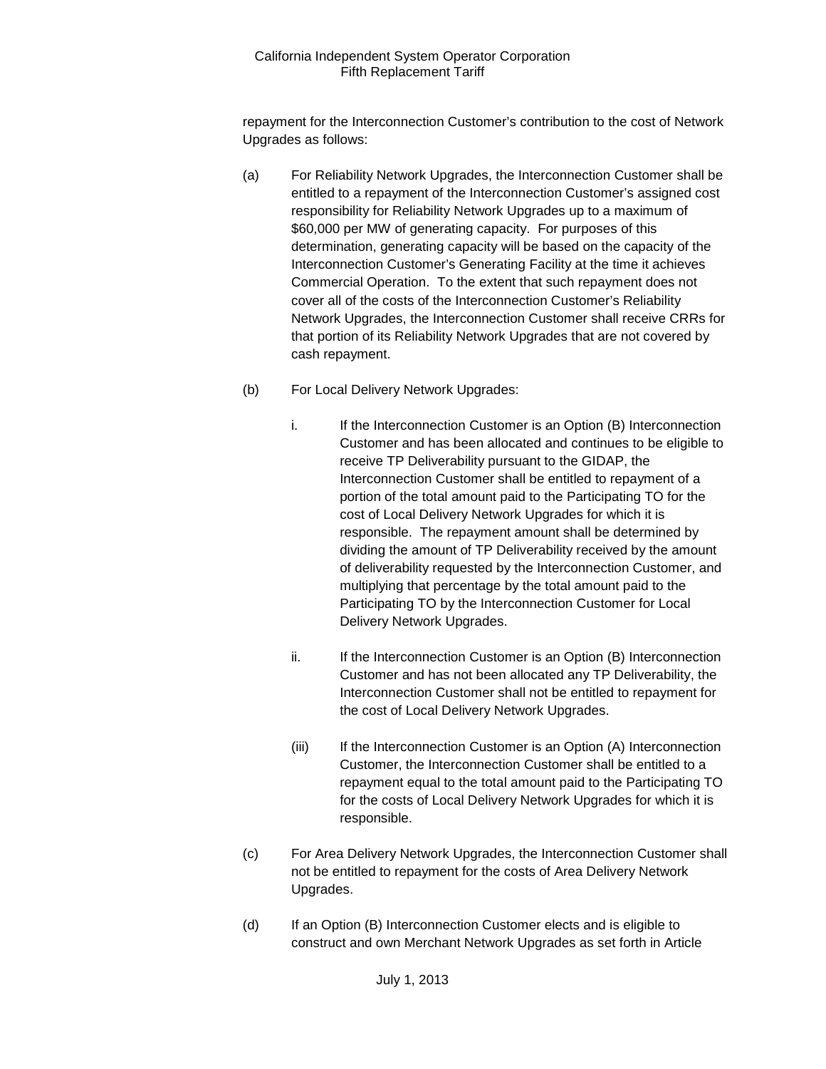repayment for the Interconnection Customer's contribution to the cost of Network Upgrades as follows:

- (a) For Reliability Network Upgrades, the Interconnection Customer shall be entitled to a repayment of the Interconnection Customer's assigned cost responsibility for Reliability Network Upgrades up to a maximum of \$60,000 per MW of generating capacity. For purposes of this determination, generating capacity will be based on the capacity of the Interconnection Customer's Generating Facility at the time it achieves Commercial Operation. To the extent that such repayment does not cover all of the costs of the Interconnection Customer's Reliability Network Upgrades, the Interconnection Customer shall receive CRRs for that portion of its Reliability Network Upgrades that are not covered by cash repayment.
- (b) For Local Delivery Network Upgrades:
	- i. If the Interconnection Customer is an Option (B) Interconnection Customer and has been allocated and continues to be eligible to receive TP Deliverability pursuant to the GIDAP, the Interconnection Customer shall be entitled to repayment of a portion of the total amount paid to the Participating TO for the cost of Local Delivery Network Upgrades for which it is responsible. The repayment amount shall be determined by dividing the amount of TP Deliverability received by the amount of deliverability requested by the Interconnection Customer, and multiplying that percentage by the total amount paid to the Participating TO by the Interconnection Customer for Local Delivery Network Upgrades.
	- ii. If the Interconnection Customer is an Option (B) Interconnection Customer and has not been allocated any TP Deliverability, the Interconnection Customer shall not be entitled to repayment for the cost of Local Delivery Network Upgrades.
	- (iii) If the Interconnection Customer is an Option (A) Interconnection Customer, the Interconnection Customer shall be entitled to a repayment equal to the total amount paid to the Participating TO for the costs of Local Delivery Network Upgrades for which it is responsible.
- (c) For Area Delivery Network Upgrades, the Interconnection Customer shall not be entitled to repayment for the costs of Area Delivery Network Upgrades.
- (d) If an Option (B) Interconnection Customer elects and is eligible to construct and own Merchant Network Upgrades as set forth in Article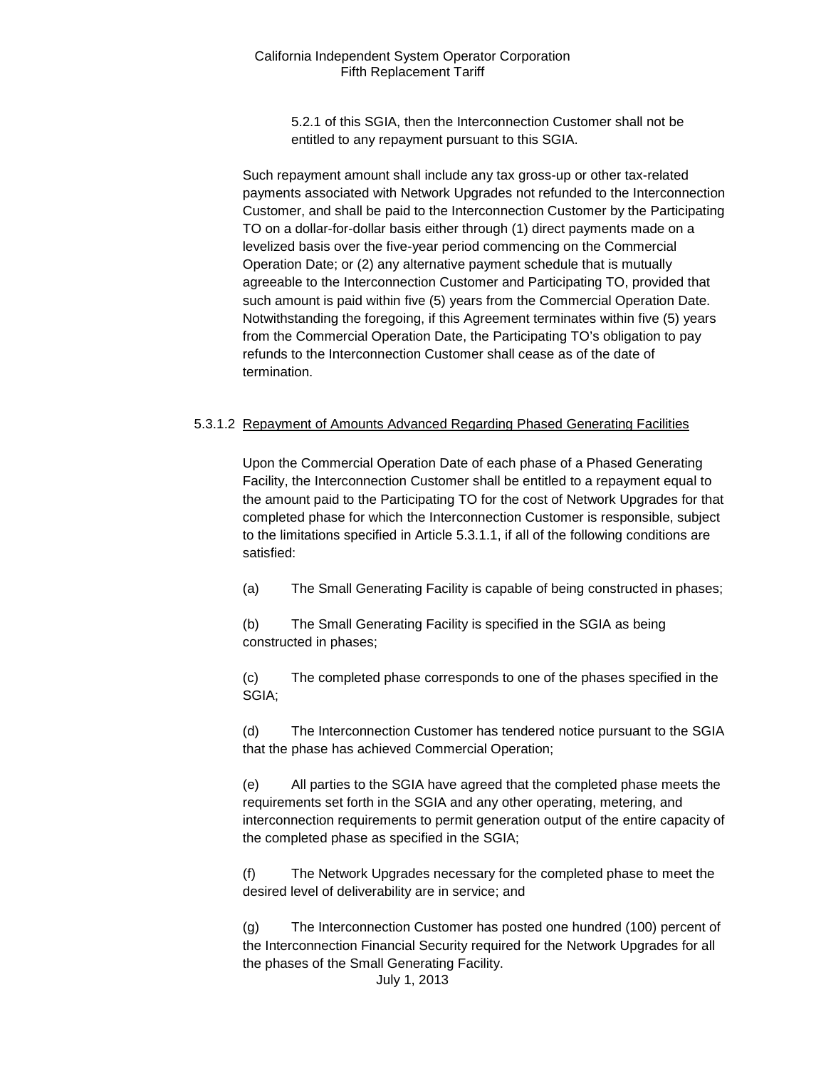5.2.1 of this SGIA, then the Interconnection Customer shall not be entitled to any repayment pursuant to this SGIA.

Such repayment amount shall include any tax gross-up or other tax-related payments associated with Network Upgrades not refunded to the Interconnection Customer, and shall be paid to the Interconnection Customer by the Participating TO on a dollar-for-dollar basis either through (1) direct payments made on a levelized basis over the five-year period commencing on the Commercial Operation Date; or (2) any alternative payment schedule that is mutually agreeable to the Interconnection Customer and Participating TO, provided that such amount is paid within five (5) years from the Commercial Operation Date. Notwithstanding the foregoing, if this Agreement terminates within five (5) years from the Commercial Operation Date, the Participating TO's obligation to pay refunds to the Interconnection Customer shall cease as of the date of termination.

#### 5.3.1.2 Repayment of Amounts Advanced Regarding Phased Generating Facilities

Upon the Commercial Operation Date of each phase of a Phased Generating Facility, the Interconnection Customer shall be entitled to a repayment equal to the amount paid to the Participating TO for the cost of Network Upgrades for that completed phase for which the Interconnection Customer is responsible, subject to the limitations specified in Article 5.3.1.1, if all of the following conditions are satisfied:

(a) The Small Generating Facility is capable of being constructed in phases;

(b) The Small Generating Facility is specified in the SGIA as being constructed in phases;

(c) The completed phase corresponds to one of the phases specified in the SGIA;

(d) The Interconnection Customer has tendered notice pursuant to the SGIA that the phase has achieved Commercial Operation;

(e) All parties to the SGIA have agreed that the completed phase meets the requirements set forth in the SGIA and any other operating, metering, and interconnection requirements to permit generation output of the entire capacity of the completed phase as specified in the SGIA;

(f) The Network Upgrades necessary for the completed phase to meet the desired level of deliverability are in service; and

(g) The Interconnection Customer has posted one hundred (100) percent of the Interconnection Financial Security required for the Network Upgrades for all the phases of the Small Generating Facility.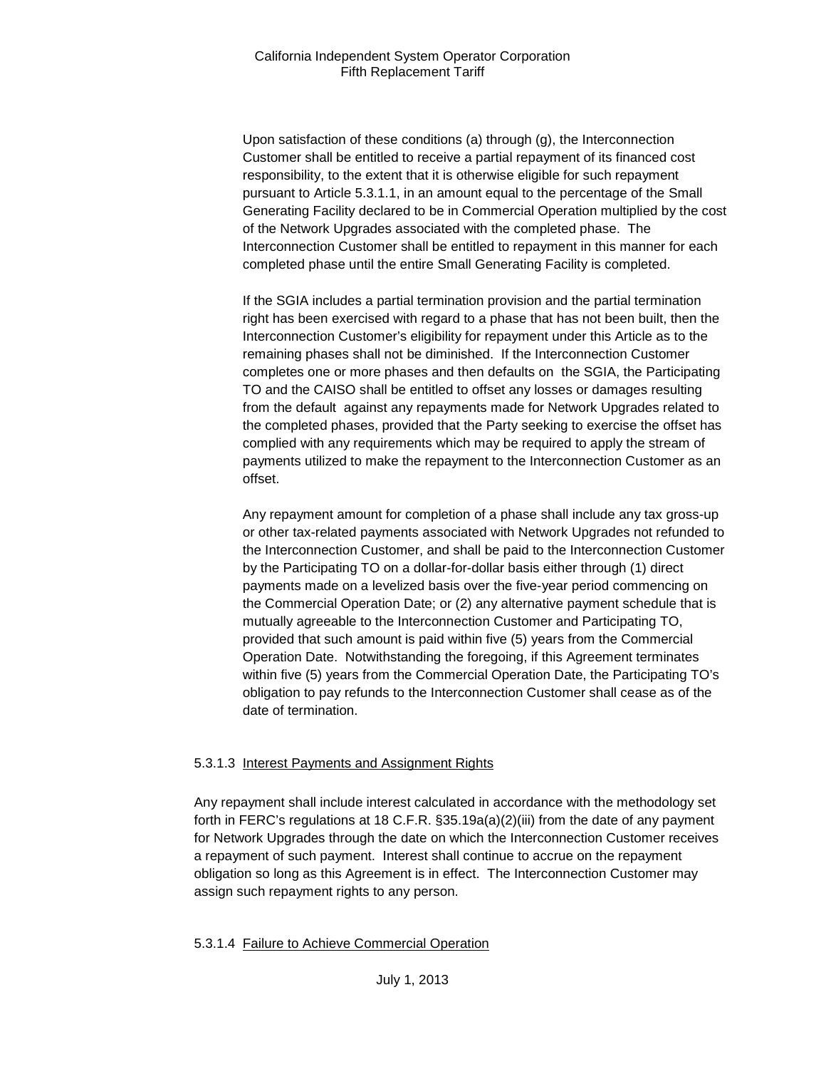Upon satisfaction of these conditions (a) through (g), the Interconnection Customer shall be entitled to receive a partial repayment of its financed cost responsibility, to the extent that it is otherwise eligible for such repayment pursuant to Article 5.3.1.1, in an amount equal to the percentage of the Small Generating Facility declared to be in Commercial Operation multiplied by the cost of the Network Upgrades associated with the completed phase. The Interconnection Customer shall be entitled to repayment in this manner for each completed phase until the entire Small Generating Facility is completed.

If the SGIA includes a partial termination provision and the partial termination right has been exercised with regard to a phase that has not been built, then the Interconnection Customer's eligibility for repayment under this Article as to the remaining phases shall not be diminished. If the Interconnection Customer completes one or more phases and then defaults on the SGIA, the Participating TO and the CAISO shall be entitled to offset any losses or damages resulting from the default against any repayments made for Network Upgrades related to the completed phases, provided that the Party seeking to exercise the offset has complied with any requirements which may be required to apply the stream of payments utilized to make the repayment to the Interconnection Customer as an offset.

Any repayment amount for completion of a phase shall include any tax gross-up or other tax-related payments associated with Network Upgrades not refunded to the Interconnection Customer, and shall be paid to the Interconnection Customer by the Participating TO on a dollar-for-dollar basis either through (1) direct payments made on a levelized basis over the five-year period commencing on the Commercial Operation Date; or (2) any alternative payment schedule that is mutually agreeable to the Interconnection Customer and Participating TO, provided that such amount is paid within five (5) years from the Commercial Operation Date. Notwithstanding the foregoing, if this Agreement terminates within five (5) years from the Commercial Operation Date, the Participating TO's obligation to pay refunds to the Interconnection Customer shall cease as of the date of termination.

#### 5.3.1.3 Interest Payments and Assignment Rights

Any repayment shall include interest calculated in accordance with the methodology set forth in FERC's regulations at 18 C.F.R. §35.19a(a)(2)(iii) from the date of any payment for Network Upgrades through the date on which the Interconnection Customer receives a repayment of such payment. Interest shall continue to accrue on the repayment obligation so long as this Agreement is in effect. The Interconnection Customer may assign such repayment rights to any person.

#### 5.3.1.4 Failure to Achieve Commercial Operation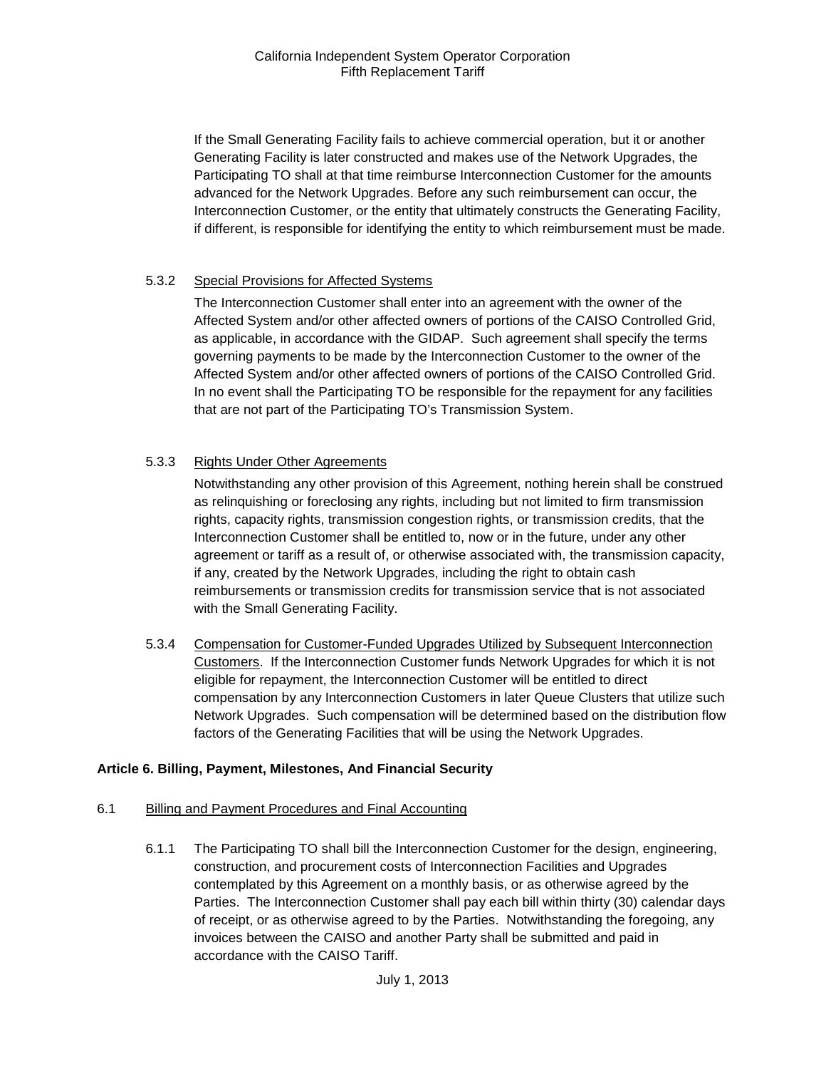If the Small Generating Facility fails to achieve commercial operation, but it or another Generating Facility is later constructed and makes use of the Network Upgrades, the Participating TO shall at that time reimburse Interconnection Customer for the amounts advanced for the Network Upgrades. Before any such reimbursement can occur, the Interconnection Customer, or the entity that ultimately constructs the Generating Facility, if different, is responsible for identifying the entity to which reimbursement must be made.

#### 5.3.2 Special Provisions for Affected Systems

The Interconnection Customer shall enter into an agreement with the owner of the Affected System and/or other affected owners of portions of the CAISO Controlled Grid, as applicable, in accordance with the GIDAP. Such agreement shall specify the terms governing payments to be made by the Interconnection Customer to the owner of the Affected System and/or other affected owners of portions of the CAISO Controlled Grid. In no event shall the Participating TO be responsible for the repayment for any facilities that are not part of the Participating TO's Transmission System.

# 5.3.3 Rights Under Other Agreements

Notwithstanding any other provision of this Agreement, nothing herein shall be construed as relinquishing or foreclosing any rights, including but not limited to firm transmission rights, capacity rights, transmission congestion rights, or transmission credits, that the Interconnection Customer shall be entitled to, now or in the future, under any other agreement or tariff as a result of, or otherwise associated with, the transmission capacity, if any, created by the Network Upgrades, including the right to obtain cash reimbursements or transmission credits for transmission service that is not associated with the Small Generating Facility.

5.3.4 Compensation for Customer-Funded Upgrades Utilized by Subsequent Interconnection Customers. If the Interconnection Customer funds Network Upgrades for which it is not eligible for repayment, the Interconnection Customer will be entitled to direct compensation by any Interconnection Customers in later Queue Clusters that utilize such Network Upgrades. Such compensation will be determined based on the distribution flow factors of the Generating Facilities that will be using the Network Upgrades.

#### <span id="page-14-0"></span>**Article 6. Billing, Payment, Milestones, And Financial Security**

#### <span id="page-14-1"></span>6.1 Billing and Payment Procedures and Final Accounting

6.1.1 The Participating TO shall bill the Interconnection Customer for the design, engineering, construction, and procurement costs of Interconnection Facilities and Upgrades contemplated by this Agreement on a monthly basis, or as otherwise agreed by the Parties. The Interconnection Customer shall pay each bill within thirty (30) calendar days of receipt, or as otherwise agreed to by the Parties. Notwithstanding the foregoing, any invoices between the CAISO and another Party shall be submitted and paid in accordance with the CAISO Tariff.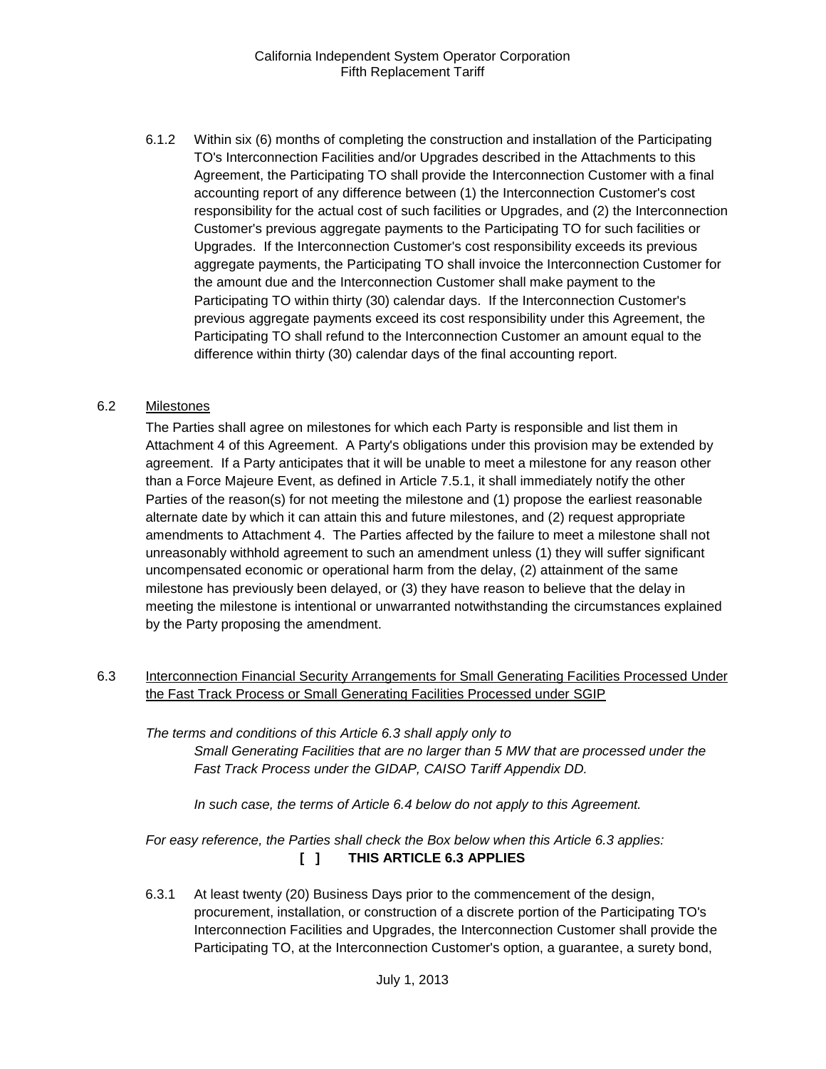6.1.2 Within six (6) months of completing the construction and installation of the Participating TO's Interconnection Facilities and/or Upgrades described in the Attachments to this Agreement, the Participating TO shall provide the Interconnection Customer with a final accounting report of any difference between (1) the Interconnection Customer's cost responsibility for the actual cost of such facilities or Upgrades, and (2) the Interconnection Customer's previous aggregate payments to the Participating TO for such facilities or Upgrades. If the Interconnection Customer's cost responsibility exceeds its previous aggregate payments, the Participating TO shall invoice the Interconnection Customer for the amount due and the Interconnection Customer shall make payment to the Participating TO within thirty (30) calendar days. If the Interconnection Customer's previous aggregate payments exceed its cost responsibility under this Agreement, the Participating TO shall refund to the Interconnection Customer an amount equal to the difference within thirty (30) calendar days of the final accounting report.

# <span id="page-15-0"></span>6.2 Milestones

The Parties shall agree on milestones for which each Party is responsible and list them in Attachment 4 of this Agreement. A Party's obligations under this provision may be extended by agreement. If a Party anticipates that it will be unable to meet a milestone for any reason other than a Force Majeure Event, as defined in Article 7.5.1, it shall immediately notify the other Parties of the reason(s) for not meeting the milestone and (1) propose the earliest reasonable alternate date by which it can attain this and future milestones, and (2) request appropriate amendments to Attachment 4. The Parties affected by the failure to meet a milestone shall not unreasonably withhold agreement to such an amendment unless (1) they will suffer significant uncompensated economic or operational harm from the delay, (2) attainment of the same milestone has previously been delayed, or (3) they have reason to believe that the delay in meeting the milestone is intentional or unwarranted notwithstanding the circumstances explained by the Party proposing the amendment.

<span id="page-15-1"></span>6.3 Interconnection Financial Security Arrangements for Small Generating Facilities Processed Under the Fast Track Process or Small Generating Facilities Processed under SGIP

*The terms and conditions of this Article 6.3 shall apply only to Small Generating Facilities that are no larger than 5 MW that are processed under the Fast Track Process under the GIDAP, CAISO Tariff Appendix DD.*

*In such case, the terms of Article 6.4 below do not apply to this Agreement.*

*For easy reference, the Parties shall check the Box below when this Article 6.3 applies:*  **[ ] THIS ARTICLE 6.3 APPLIES**

6.3.1 At least twenty (20) Business Days prior to the commencement of the design, procurement, installation, or construction of a discrete portion of the Participating TO's Interconnection Facilities and Upgrades, the Interconnection Customer shall provide the Participating TO, at the Interconnection Customer's option, a guarantee, a surety bond,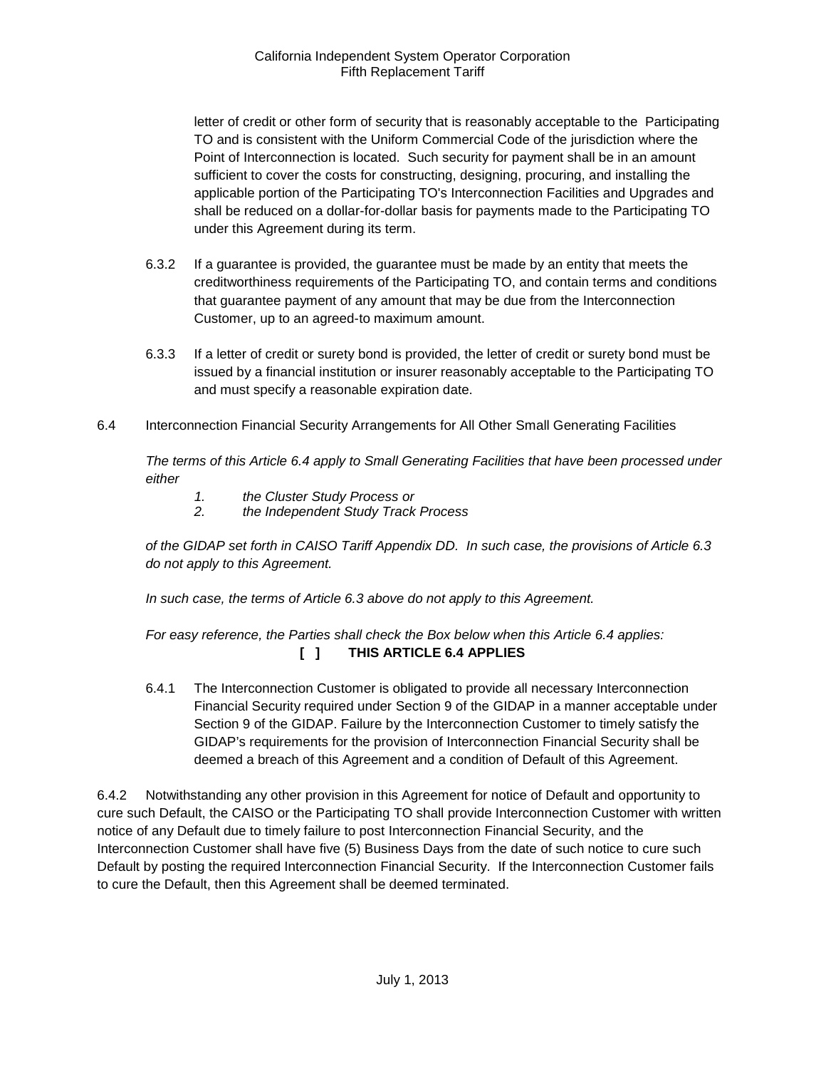letter of credit or other form of security that is reasonably acceptable to the Participating TO and is consistent with the Uniform Commercial Code of the jurisdiction where the Point of Interconnection is located. Such security for payment shall be in an amount sufficient to cover the costs for constructing, designing, procuring, and installing the applicable portion of the Participating TO's Interconnection Facilities and Upgrades and shall be reduced on a dollar-for-dollar basis for payments made to the Participating TO under this Agreement during its term.

- 6.3.2 If a guarantee is provided, the guarantee must be made by an entity that meets the creditworthiness requirements of the Participating TO, and contain terms and conditions that guarantee payment of any amount that may be due from the Interconnection Customer, up to an agreed-to maximum amount.
- 6.3.3 If a letter of credit or surety bond is provided, the letter of credit or surety bond must be issued by a financial institution or insurer reasonably acceptable to the Participating TO and must specify a reasonable expiration date.
- <span id="page-16-0"></span>6.4 Interconnection Financial Security Arrangements for All Other Small Generating Facilities

*The terms of this Article 6.4 apply to Small Generating Facilities that have been processed under either* 

- *1. the Cluster Study Process or*
- *2. the Independent Study Track Process*

*of the GIDAP set forth in CAISO Tariff Appendix DD. In such case, the provisions of Article 6.3 do not apply to this Agreement.*

*In such case, the terms of Article 6.3 above do not apply to this Agreement.* 

# *For easy reference, the Parties shall check the Box below when this Article 6.4 applies:*  **[ ] THIS ARTICLE 6.4 APPLIES**

6.4.1 The Interconnection Customer is obligated to provide all necessary Interconnection Financial Security required under Section 9 of the GIDAP in a manner acceptable under Section 9 of the GIDAP. Failure by the Interconnection Customer to timely satisfy the GIDAP's requirements for the provision of Interconnection Financial Security shall be deemed a breach of this Agreement and a condition of Default of this Agreement.

6.4.2 Notwithstanding any other provision in this Agreement for notice of Default and opportunity to cure such Default, the CAISO or the Participating TO shall provide Interconnection Customer with written notice of any Default due to timely failure to post Interconnection Financial Security, and the Interconnection Customer shall have five (5) Business Days from the date of such notice to cure such Default by posting the required Interconnection Financial Security. If the Interconnection Customer fails to cure the Default, then this Agreement shall be deemed terminated.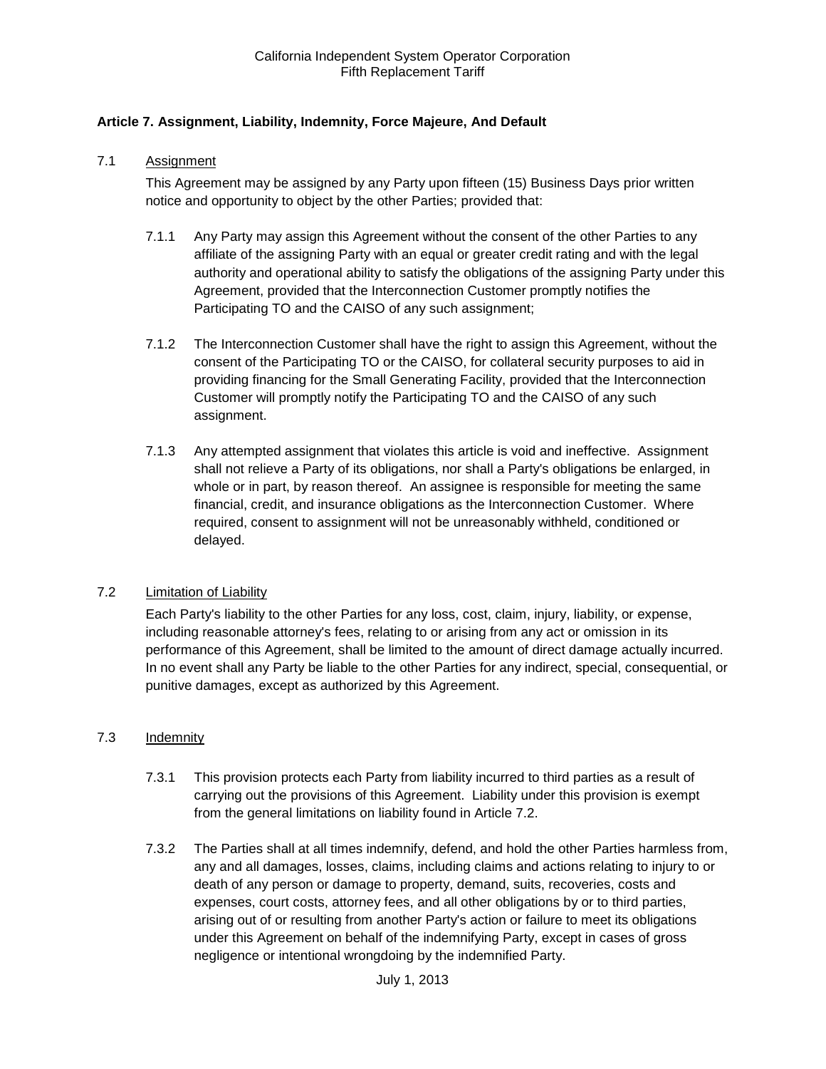# <span id="page-17-0"></span>**Article 7. Assignment, Liability, Indemnity, Force Majeure, And Default**

#### <span id="page-17-1"></span>7.1 Assignment

This Agreement may be assigned by any Party upon fifteen (15) Business Days prior written notice and opportunity to object by the other Parties; provided that:

- 7.1.1 Any Party may assign this Agreement without the consent of the other Parties to any affiliate of the assigning Party with an equal or greater credit rating and with the legal authority and operational ability to satisfy the obligations of the assigning Party under this Agreement, provided that the Interconnection Customer promptly notifies the Participating TO and the CAISO of any such assignment;
- 7.1.2 The Interconnection Customer shall have the right to assign this Agreement, without the consent of the Participating TO or the CAISO, for collateral security purposes to aid in providing financing for the Small Generating Facility, provided that the Interconnection Customer will promptly notify the Participating TO and the CAISO of any such assignment.
- 7.1.3 Any attempted assignment that violates this article is void and ineffective. Assignment shall not relieve a Party of its obligations, nor shall a Party's obligations be enlarged, in whole or in part, by reason thereof. An assignee is responsible for meeting the same financial, credit, and insurance obligations as the Interconnection Customer. Where required, consent to assignment will not be unreasonably withheld, conditioned or delayed.

#### <span id="page-17-2"></span>7.2 Limitation of Liability

Each Party's liability to the other Parties for any loss, cost, claim, injury, liability, or expense, including reasonable attorney's fees, relating to or arising from any act or omission in its performance of this Agreement, shall be limited to the amount of direct damage actually incurred. In no event shall any Party be liable to the other Parties for any indirect, special, consequential, or punitive damages, except as authorized by this Agreement.

#### <span id="page-17-3"></span>7.3 Indemnity

- 7.3.1 This provision protects each Party from liability incurred to third parties as a result of carrying out the provisions of this Agreement. Liability under this provision is exempt from the general limitations on liability found in Article 7.2.
- 7.3.2 The Parties shall at all times indemnify, defend, and hold the other Parties harmless from, any and all damages, losses, claims, including claims and actions relating to injury to or death of any person or damage to property, demand, suits, recoveries, costs and expenses, court costs, attorney fees, and all other obligations by or to third parties, arising out of or resulting from another Party's action or failure to meet its obligations under this Agreement on behalf of the indemnifying Party, except in cases of gross negligence or intentional wrongdoing by the indemnified Party.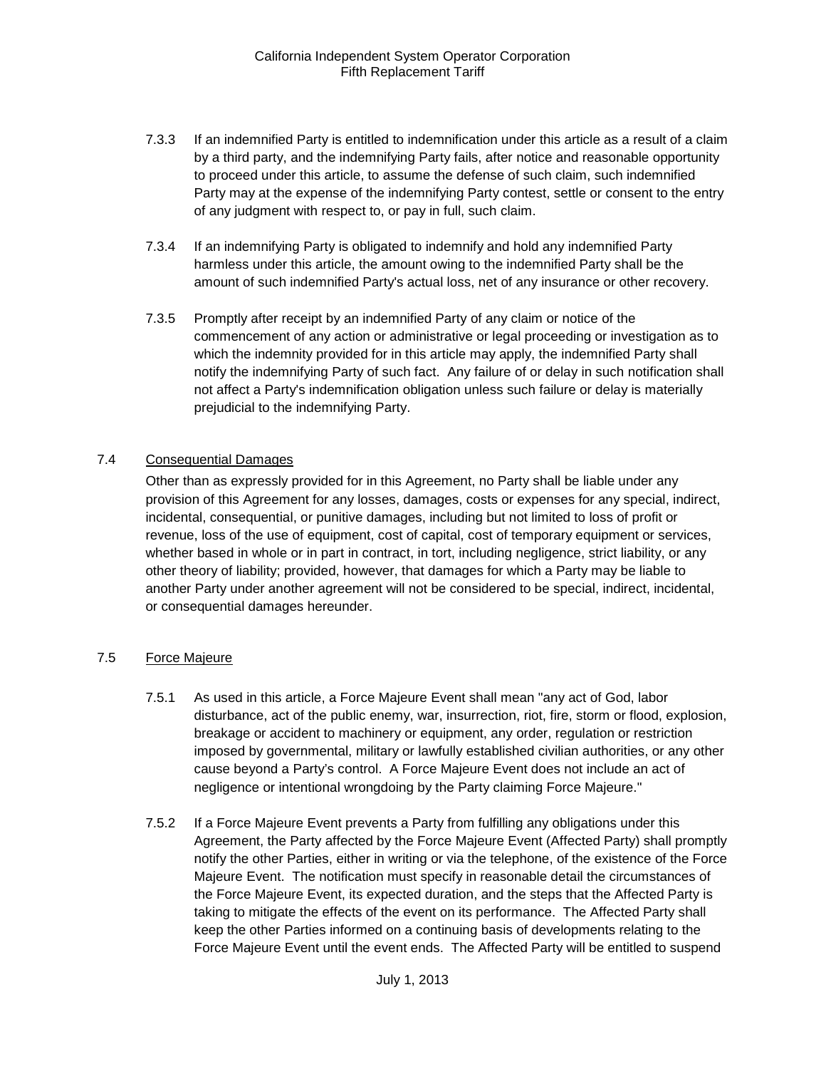- 7.3.3 If an indemnified Party is entitled to indemnification under this article as a result of a claim by a third party, and the indemnifying Party fails, after notice and reasonable opportunity to proceed under this article, to assume the defense of such claim, such indemnified Party may at the expense of the indemnifying Party contest, settle or consent to the entry of any judgment with respect to, or pay in full, such claim.
- 7.3.4 If an indemnifying Party is obligated to indemnify and hold any indemnified Party harmless under this article, the amount owing to the indemnified Party shall be the amount of such indemnified Party's actual loss, net of any insurance or other recovery.
- 7.3.5 Promptly after receipt by an indemnified Party of any claim or notice of the commencement of any action or administrative or legal proceeding or investigation as to which the indemnity provided for in this article may apply, the indemnified Party shall notify the indemnifying Party of such fact. Any failure of or delay in such notification shall not affect a Party's indemnification obligation unless such failure or delay is materially prejudicial to the indemnifying Party.

#### <span id="page-18-0"></span>7.4 Consequential Damages

Other than as expressly provided for in this Agreement, no Party shall be liable under any provision of this Agreement for any losses, damages, costs or expenses for any special, indirect, incidental, consequential, or punitive damages, including but not limited to loss of profit or revenue, loss of the use of equipment, cost of capital, cost of temporary equipment or services, whether based in whole or in part in contract, in tort, including negligence, strict liability, or any other theory of liability; provided, however, that damages for which a Party may be liable to another Party under another agreement will not be considered to be special, indirect, incidental, or consequential damages hereunder.

#### <span id="page-18-1"></span>7.5 Force Majeure

- 7.5.1 As used in this article, a Force Majeure Event shall mean "any act of God, labor disturbance, act of the public enemy, war, insurrection, riot, fire, storm or flood, explosion, breakage or accident to machinery or equipment, any order, regulation or restriction imposed by governmental, military or lawfully established civilian authorities, or any other cause beyond a Party's control. A Force Majeure Event does not include an act of negligence or intentional wrongdoing by the Party claiming Force Majeure."
- 7.5.2 If a Force Majeure Event prevents a Party from fulfilling any obligations under this Agreement, the Party affected by the Force Majeure Event (Affected Party) shall promptly notify the other Parties, either in writing or via the telephone, of the existence of the Force Majeure Event. The notification must specify in reasonable detail the circumstances of the Force Majeure Event, its expected duration, and the steps that the Affected Party is taking to mitigate the effects of the event on its performance. The Affected Party shall keep the other Parties informed on a continuing basis of developments relating to the Force Majeure Event until the event ends. The Affected Party will be entitled to suspend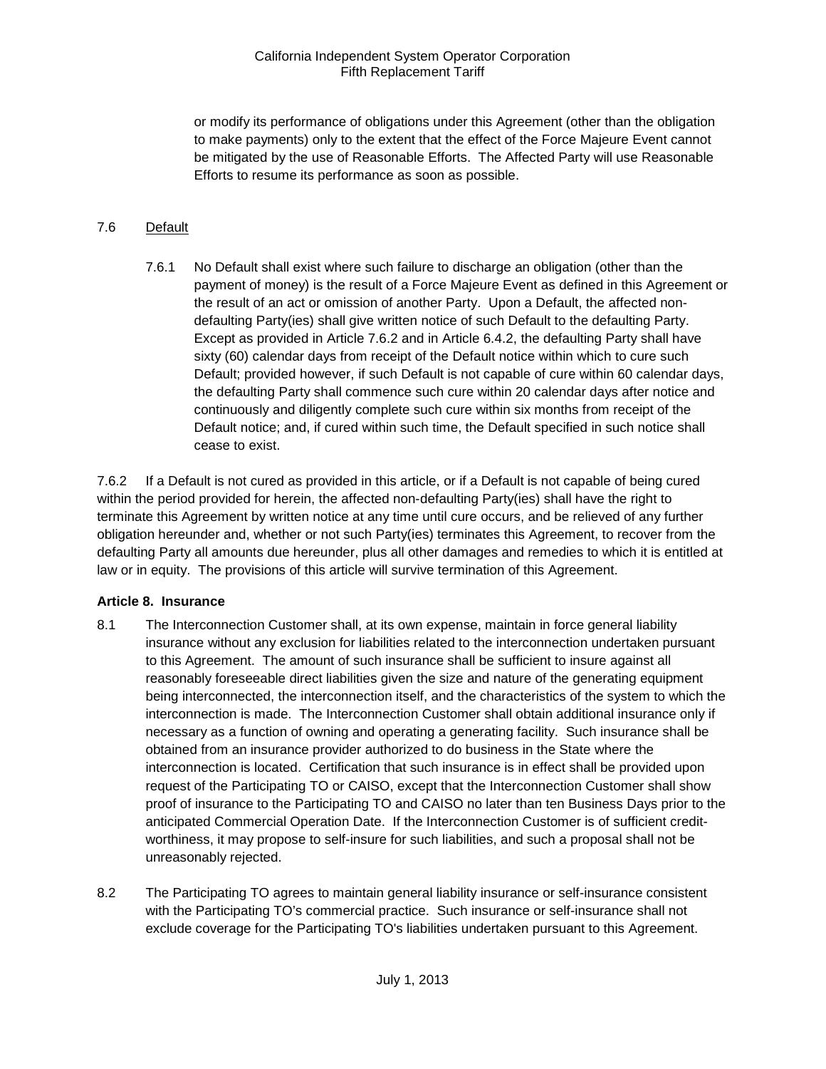or modify its performance of obligations under this Agreement (other than the obligation to make payments) only to the extent that the effect of the Force Majeure Event cannot be mitigated by the use of Reasonable Efforts. The Affected Party will use Reasonable Efforts to resume its performance as soon as possible.

# <span id="page-19-0"></span>7.6 Default

7.6.1 No Default shall exist where such failure to discharge an obligation (other than the payment of money) is the result of a Force Majeure Event as defined in this Agreement or the result of an act or omission of another Party. Upon a Default, the affected nondefaulting Party(ies) shall give written notice of such Default to the defaulting Party. Except as provided in Article 7.6.2 and in Article 6.4.2, the defaulting Party shall have sixty (60) calendar days from receipt of the Default notice within which to cure such Default; provided however, if such Default is not capable of cure within 60 calendar days, the defaulting Party shall commence such cure within 20 calendar days after notice and continuously and diligently complete such cure within six months from receipt of the Default notice; and, if cured within such time, the Default specified in such notice shall cease to exist.

7.6.2 If a Default is not cured as provided in this article, or if a Default is not capable of being cured within the period provided for herein, the affected non-defaulting Party(ies) shall have the right to terminate this Agreement by written notice at any time until cure occurs, and be relieved of any further obligation hereunder and, whether or not such Party(ies) terminates this Agreement, to recover from the defaulting Party all amounts due hereunder, plus all other damages and remedies to which it is entitled at law or in equity. The provisions of this article will survive termination of this Agreement.

#### <span id="page-19-1"></span>**Article 8. Insurance**

- <span id="page-19-2"></span>8.1 The Interconnection Customer shall, at its own expense, maintain in force general liability insurance without any exclusion for liabilities related to the interconnection undertaken pursuant to this Agreement. The amount of such insurance shall be sufficient to insure against all reasonably foreseeable direct liabilities given the size and nature of the generating equipment being interconnected, the interconnection itself, and the characteristics of the system to which the interconnection is made. The Interconnection Customer shall obtain additional insurance only if necessary as a function of owning and operating a generating facility. Such insurance shall be obtained from an insurance provider authorized to do business in the State where the interconnection is located. Certification that such insurance is in effect shall be provided upon request of the Participating TO or CAISO, except that the Interconnection Customer shall show proof of insurance to the Participating TO and CAISO no later than ten Business Days prior to the anticipated Commercial Operation Date. If the Interconnection Customer is of sufficient creditworthiness, it may propose to self-insure for such liabilities, and such a proposal shall not be unreasonably rejected.
- <span id="page-19-3"></span>8.2 The Participating TO agrees to maintain general liability insurance or self-insurance consistent with the Participating TO's commercial practice. Such insurance or self-insurance shall not exclude coverage for the Participating TO's liabilities undertaken pursuant to this Agreement.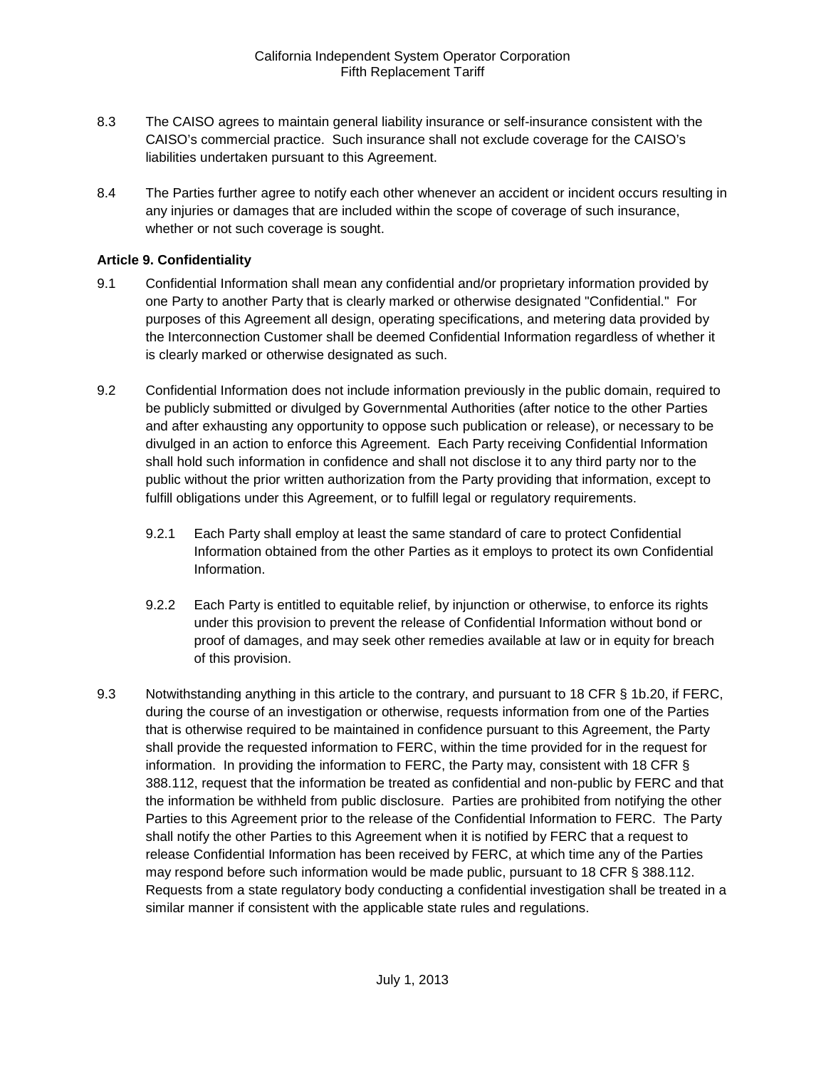- <span id="page-20-0"></span>8.3 The CAISO agrees to maintain general liability insurance or self-insurance consistent with the CAISO's commercial practice. Such insurance shall not exclude coverage for the CAISO's liabilities undertaken pursuant to this Agreement.
- <span id="page-20-1"></span>8.4 The Parties further agree to notify each other whenever an accident or incident occurs resulting in any injuries or damages that are included within the scope of coverage of such insurance, whether or not such coverage is sought.

#### <span id="page-20-2"></span>**Article 9. Confidentiality**

- <span id="page-20-3"></span>9.1 Confidential Information shall mean any confidential and/or proprietary information provided by one Party to another Party that is clearly marked or otherwise designated "Confidential." For purposes of this Agreement all design, operating specifications, and metering data provided by the Interconnection Customer shall be deemed Confidential Information regardless of whether it is clearly marked or otherwise designated as such.
- <span id="page-20-4"></span>9.2 Confidential Information does not include information previously in the public domain, required to be publicly submitted or divulged by Governmental Authorities (after notice to the other Parties and after exhausting any opportunity to oppose such publication or release), or necessary to be divulged in an action to enforce this Agreement. Each Party receiving Confidential Information shall hold such information in confidence and shall not disclose it to any third party nor to the public without the prior written authorization from the Party providing that information, except to fulfill obligations under this Agreement, or to fulfill legal or regulatory requirements.
	- 9.2.1 Each Party shall employ at least the same standard of care to protect Confidential Information obtained from the other Parties as it employs to protect its own Confidential Information.
	- 9.2.2 Each Party is entitled to equitable relief, by injunction or otherwise, to enforce its rights under this provision to prevent the release of Confidential Information without bond or proof of damages, and may seek other remedies available at law or in equity for breach of this provision.
- <span id="page-20-5"></span>9.3 Notwithstanding anything in this article to the contrary, and pursuant to 18 CFR § 1b.20, if FERC, during the course of an investigation or otherwise, requests information from one of the Parties that is otherwise required to be maintained in confidence pursuant to this Agreement, the Party shall provide the requested information to FERC, within the time provided for in the request for information. In providing the information to FERC, the Party may, consistent with 18 CFR § 388.112, request that the information be treated as confidential and non-public by FERC and that the information be withheld from public disclosure. Parties are prohibited from notifying the other Parties to this Agreement prior to the release of the Confidential Information to FERC. The Party shall notify the other Parties to this Agreement when it is notified by FERC that a request to release Confidential Information has been received by FERC, at which time any of the Parties may respond before such information would be made public, pursuant to 18 CFR § 388.112. Requests from a state regulatory body conducting a confidential investigation shall be treated in a similar manner if consistent with the applicable state rules and regulations.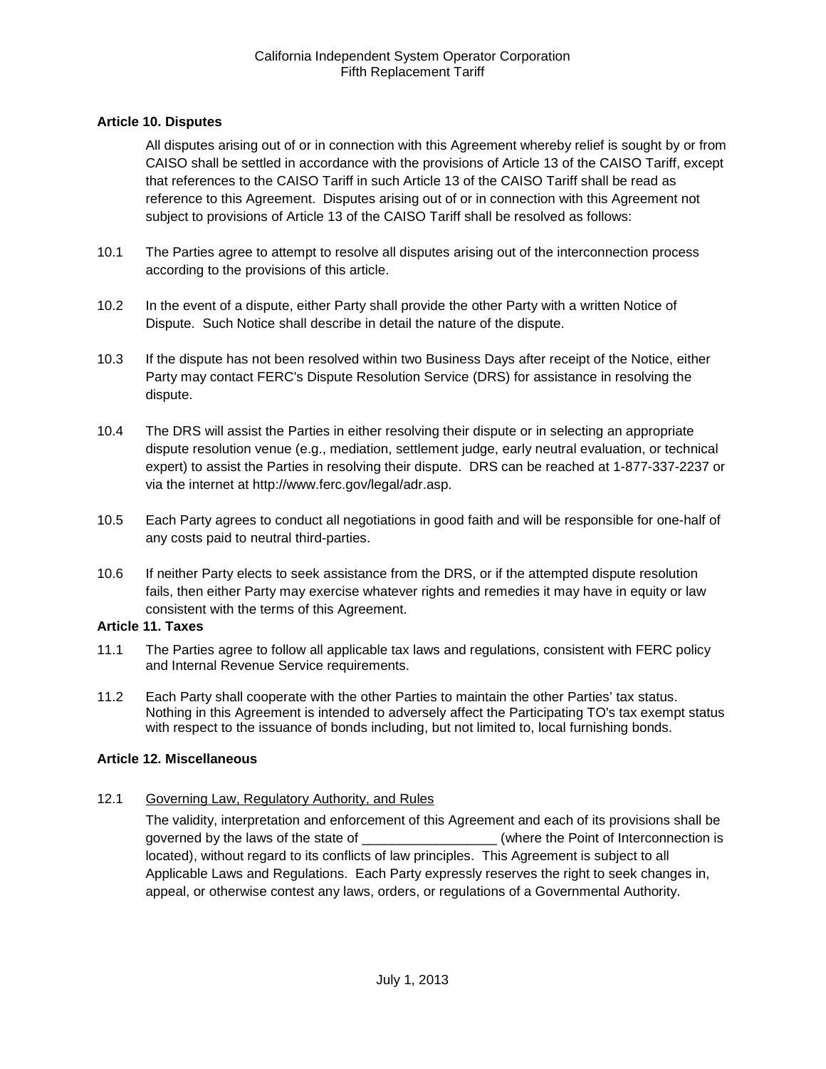# <span id="page-21-0"></span>**Article 10. Disputes**

All disputes arising out of or in connection with this Agreement whereby relief is sought by or from CAISO shall be settled in accordance with the provisions of Article 13 of the CAISO Tariff, except that references to the CAISO Tariff in such Article 13 of the CAISO Tariff shall be read as reference to this Agreement. Disputes arising out of or in connection with this Agreement not subject to provisions of Article 13 of the CAISO Tariff shall be resolved as follows:

- <span id="page-21-1"></span>10.1 The Parties agree to attempt to resolve all disputes arising out of the interconnection process according to the provisions of this article.
- <span id="page-21-2"></span>10.2 In the event of a dispute, either Party shall provide the other Party with a written Notice of Dispute. Such Notice shall describe in detail the nature of the dispute.
- <span id="page-21-3"></span>10.3 If the dispute has not been resolved within two Business Days after receipt of the Notice, either Party may contact FERC's Dispute Resolution Service (DRS) for assistance in resolving the dispute.
- <span id="page-21-4"></span>10.4 The DRS will assist the Parties in either resolving their dispute or in selecting an appropriate dispute resolution venue (e.g., mediation, settlement judge, early neutral evaluation, or technical expert) to assist the Parties in resolving their dispute. DRS can be reached at 1-877-337-2237 or via the internet at http://www.ferc.gov/legal/adr.asp.
- <span id="page-21-5"></span>10.5 Each Party agrees to conduct all negotiations in good faith and will be responsible for one-half of any costs paid to neutral third-parties.
- <span id="page-21-6"></span>10.6 If neither Party elects to seek assistance from the DRS, or if the attempted dispute resolution fails, then either Party may exercise whatever rights and remedies it may have in equity or law consistent with the terms of this Agreement.

#### <span id="page-21-7"></span>**Article 11. Taxes**

- <span id="page-21-8"></span>11.1 The Parties agree to follow all applicable tax laws and regulations, consistent with FERC policy and Internal Revenue Service requirements.
- <span id="page-21-9"></span>11.2 Each Party shall cooperate with the other Parties to maintain the other Parties' tax status. Nothing in this Agreement is intended to adversely affect the Participating TO's tax exempt status with respect to the issuance of bonds including, but not limited to, local furnishing bonds.

#### <span id="page-21-10"></span>**Article 12. Miscellaneous**

<span id="page-21-11"></span>12.1 Governing Law, Regulatory Authority, and Rules

The validity, interpretation and enforcement of this Agreement and each of its provisions shall be governed by the laws of the state of \_\_\_\_\_\_\_\_\_\_\_\_\_\_\_\_\_\_\_\_\_(where the Point of Interconnection is located), without regard to its conflicts of law principles. This Agreement is subject to all Applicable Laws and Regulations. Each Party expressly reserves the right to seek changes in, appeal, or otherwise contest any laws, orders, or regulations of a Governmental Authority.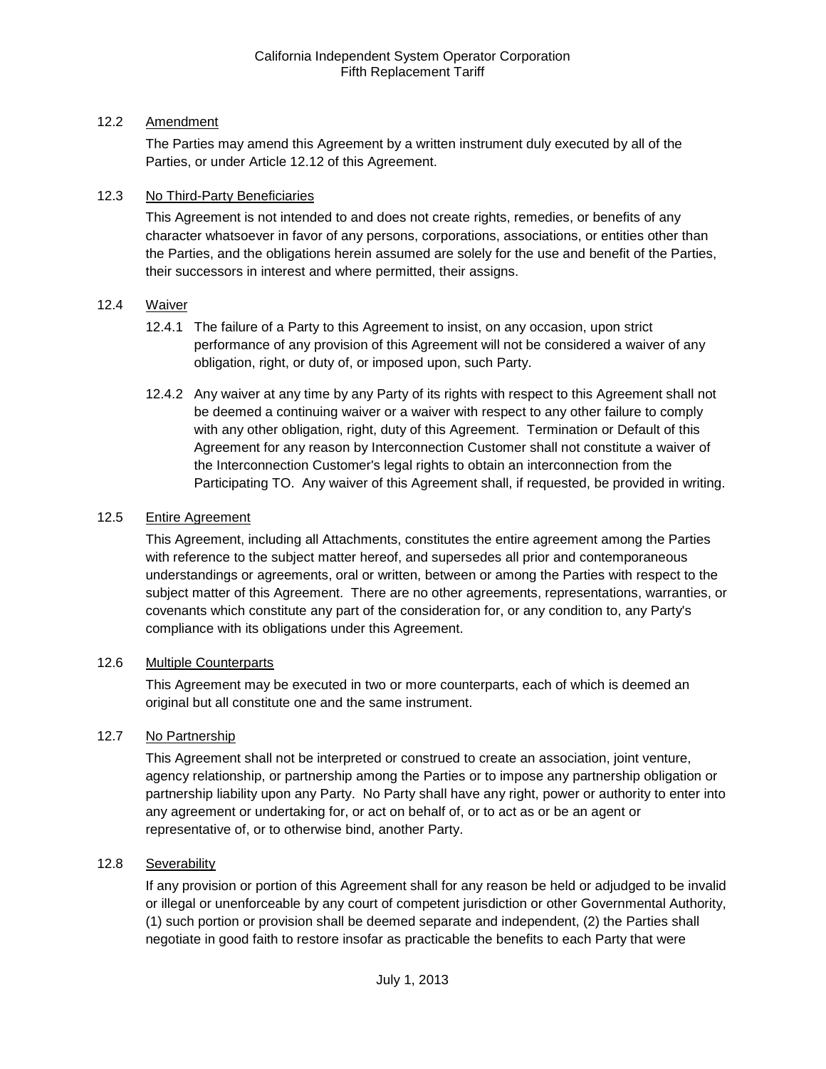# <span id="page-22-0"></span>12.2 Amendment

The Parties may amend this Agreement by a written instrument duly executed by all of the Parties, or under Article 12.12 of this Agreement.

### <span id="page-22-1"></span>12.3 No Third-Party Beneficiaries

This Agreement is not intended to and does not create rights, remedies, or benefits of any character whatsoever in favor of any persons, corporations, associations, or entities other than the Parties, and the obligations herein assumed are solely for the use and benefit of the Parties, their successors in interest and where permitted, their assigns.

# <span id="page-22-2"></span>12.4 Waiver

- 12.4.1 The failure of a Party to this Agreement to insist, on any occasion, upon strict performance of any provision of this Agreement will not be considered a waiver of any obligation, right, or duty of, or imposed upon, such Party.
- 12.4.2 Any waiver at any time by any Party of its rights with respect to this Agreement shall not be deemed a continuing waiver or a waiver with respect to any other failure to comply with any other obligation, right, duty of this Agreement. Termination or Default of this Agreement for any reason by Interconnection Customer shall not constitute a waiver of the Interconnection Customer's legal rights to obtain an interconnection from the Participating TO. Any waiver of this Agreement shall, if requested, be provided in writing.

# <span id="page-22-3"></span>12.5 Entire Agreement

This Agreement, including all Attachments, constitutes the entire agreement among the Parties with reference to the subject matter hereof, and supersedes all prior and contemporaneous understandings or agreements, oral or written, between or among the Parties with respect to the subject matter of this Agreement. There are no other agreements, representations, warranties, or covenants which constitute any part of the consideration for, or any condition to, any Party's compliance with its obligations under this Agreement.

#### <span id="page-22-4"></span>12.6 Multiple Counterparts

This Agreement may be executed in two or more counterparts, each of which is deemed an original but all constitute one and the same instrument.

#### <span id="page-22-5"></span>12.7 No Partnership

This Agreement shall not be interpreted or construed to create an association, joint venture, agency relationship, or partnership among the Parties or to impose any partnership obligation or partnership liability upon any Party. No Party shall have any right, power or authority to enter into any agreement or undertaking for, or act on behalf of, or to act as or be an agent or representative of, or to otherwise bind, another Party.

#### <span id="page-22-6"></span>12.8 Severability

If any provision or portion of this Agreement shall for any reason be held or adjudged to be invalid or illegal or unenforceable by any court of competent jurisdiction or other Governmental Authority, (1) such portion or provision shall be deemed separate and independent, (2) the Parties shall negotiate in good faith to restore insofar as practicable the benefits to each Party that were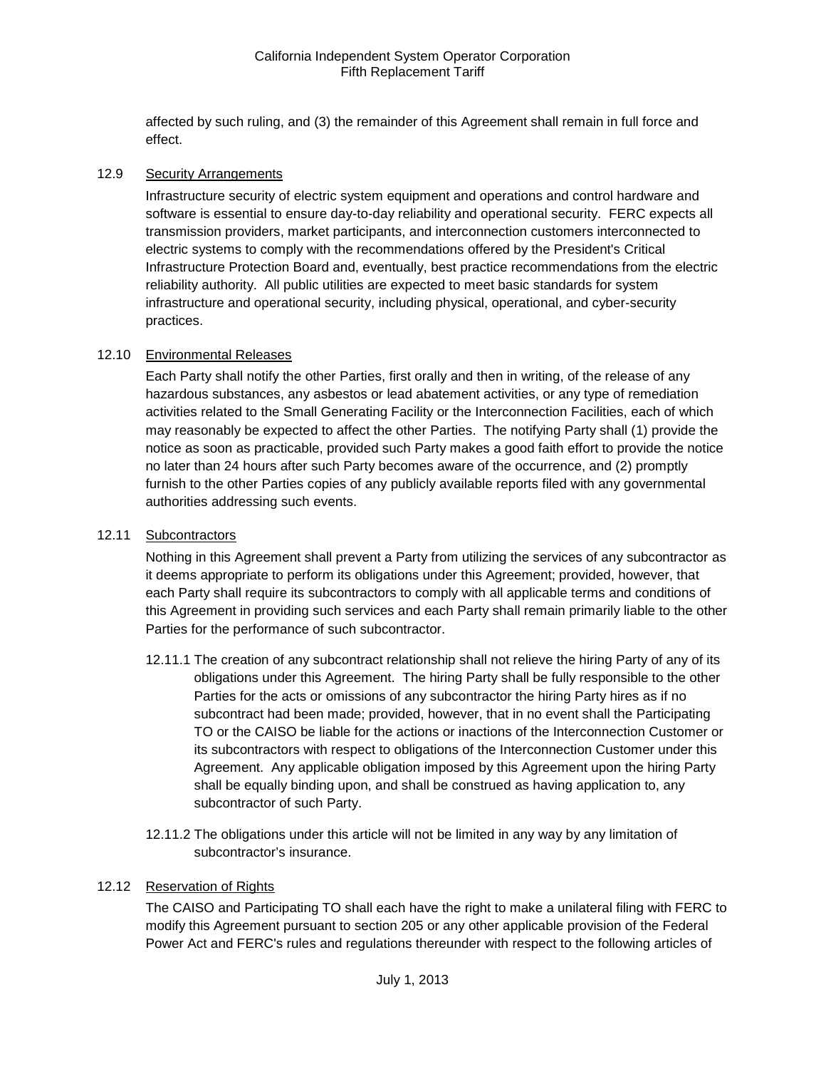affected by such ruling, and (3) the remainder of this Agreement shall remain in full force and effect.

#### <span id="page-23-0"></span>12.9 Security Arrangements

Infrastructure security of electric system equipment and operations and control hardware and software is essential to ensure day-to-day reliability and operational security. FERC expects all transmission providers, market participants, and interconnection customers interconnected to electric systems to comply with the recommendations offered by the President's Critical Infrastructure Protection Board and, eventually, best practice recommendations from the electric reliability authority. All public utilities are expected to meet basic standards for system infrastructure and operational security, including physical, operational, and cyber-security practices.

# <span id="page-23-1"></span>12.10 Environmental Releases

Each Party shall notify the other Parties, first orally and then in writing, of the release of any hazardous substances, any asbestos or lead abatement activities, or any type of remediation activities related to the Small Generating Facility or the Interconnection Facilities, each of which may reasonably be expected to affect the other Parties. The notifying Party shall (1) provide the notice as soon as practicable, provided such Party makes a good faith effort to provide the notice no later than 24 hours after such Party becomes aware of the occurrence, and (2) promptly furnish to the other Parties copies of any publicly available reports filed with any governmental authorities addressing such events.

#### <span id="page-23-2"></span>12.11 Subcontractors

Nothing in this Agreement shall prevent a Party from utilizing the services of any subcontractor as it deems appropriate to perform its obligations under this Agreement; provided, however, that each Party shall require its subcontractors to comply with all applicable terms and conditions of this Agreement in providing such services and each Party shall remain primarily liable to the other Parties for the performance of such subcontractor.

- 12.11.1 The creation of any subcontract relationship shall not relieve the hiring Party of any of its obligations under this Agreement. The hiring Party shall be fully responsible to the other Parties for the acts or omissions of any subcontractor the hiring Party hires as if no subcontract had been made; provided, however, that in no event shall the Participating TO or the CAISO be liable for the actions or inactions of the Interconnection Customer or its subcontractors with respect to obligations of the Interconnection Customer under this Agreement. Any applicable obligation imposed by this Agreement upon the hiring Party shall be equally binding upon, and shall be construed as having application to, any subcontractor of such Party.
- 12.11.2 The obligations under this article will not be limited in any way by any limitation of subcontractor's insurance.

#### <span id="page-23-3"></span>12.12 Reservation of Rights

The CAISO and Participating TO shall each have the right to make a unilateral filing with FERC to modify this Agreement pursuant to section 205 or any other applicable provision of the Federal Power Act and FERC's rules and regulations thereunder with respect to the following articles of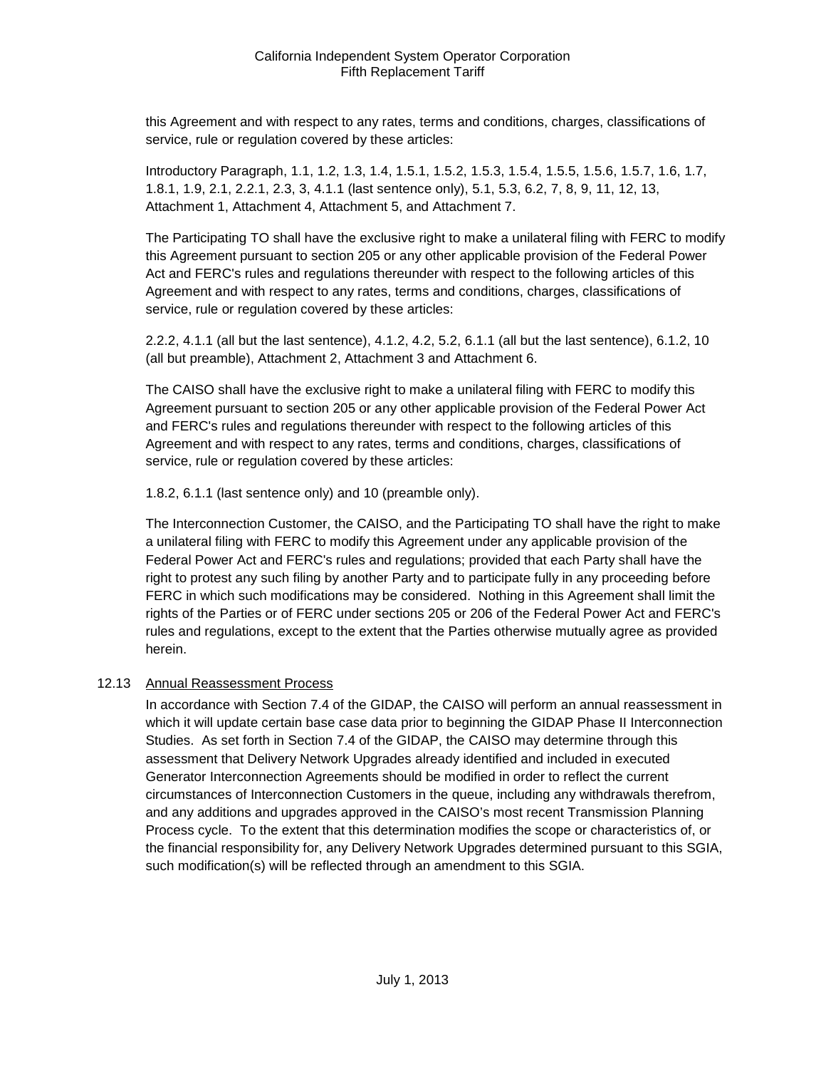this Agreement and with respect to any rates, terms and conditions, charges, classifications of service, rule or regulation covered by these articles:

Introductory Paragraph, 1.1, 1.2, 1.3, 1.4, 1.5.1, 1.5.2, 1.5.3, 1.5.4, 1.5.5, 1.5.6, 1.5.7, 1.6, 1.7, 1.8.1, 1.9, 2.1, 2.2.1, 2.3, 3, 4.1.1 (last sentence only), 5.1, 5.3, 6.2, 7, 8, 9, 11, 12, 13, Attachment 1, Attachment 4, Attachment 5, and Attachment 7.

The Participating TO shall have the exclusive right to make a unilateral filing with FERC to modify this Agreement pursuant to section 205 or any other applicable provision of the Federal Power Act and FERC's rules and regulations thereunder with respect to the following articles of this Agreement and with respect to any rates, terms and conditions, charges, classifications of service, rule or regulation covered by these articles:

2.2.2, 4.1.1 (all but the last sentence), 4.1.2, 4.2, 5.2, 6.1.1 (all but the last sentence), 6.1.2, 10 (all but preamble), Attachment 2, Attachment 3 and Attachment 6.

The CAISO shall have the exclusive right to make a unilateral filing with FERC to modify this Agreement pursuant to section 205 or any other applicable provision of the Federal Power Act and FERC's rules and regulations thereunder with respect to the following articles of this Agreement and with respect to any rates, terms and conditions, charges, classifications of service, rule or regulation covered by these articles:

1.8.2, 6.1.1 (last sentence only) and 10 (preamble only).

The Interconnection Customer, the CAISO, and the Participating TO shall have the right to make a unilateral filing with FERC to modify this Agreement under any applicable provision of the Federal Power Act and FERC's rules and regulations; provided that each Party shall have the right to protest any such filing by another Party and to participate fully in any proceeding before FERC in which such modifications may be considered. Nothing in this Agreement shall limit the rights of the Parties or of FERC under sections 205 or 206 of the Federal Power Act and FERC's rules and regulations, except to the extent that the Parties otherwise mutually agree as provided herein.

# <span id="page-24-0"></span>12.13 Annual Reassessment Process

In accordance with Section 7.4 of the GIDAP, the CAISO will perform an annual reassessment in which it will update certain base case data prior to beginning the GIDAP Phase II Interconnection Studies. As set forth in Section 7.4 of the GIDAP, the CAISO may determine through this assessment that Delivery Network Upgrades already identified and included in executed Generator Interconnection Agreements should be modified in order to reflect the current circumstances of Interconnection Customers in the queue, including any withdrawals therefrom, and any additions and upgrades approved in the CAISO's most recent Transmission Planning Process cycle. To the extent that this determination modifies the scope or characteristics of, or the financial responsibility for, any Delivery Network Upgrades determined pursuant to this SGIA, such modification(s) will be reflected through an amendment to this SGIA.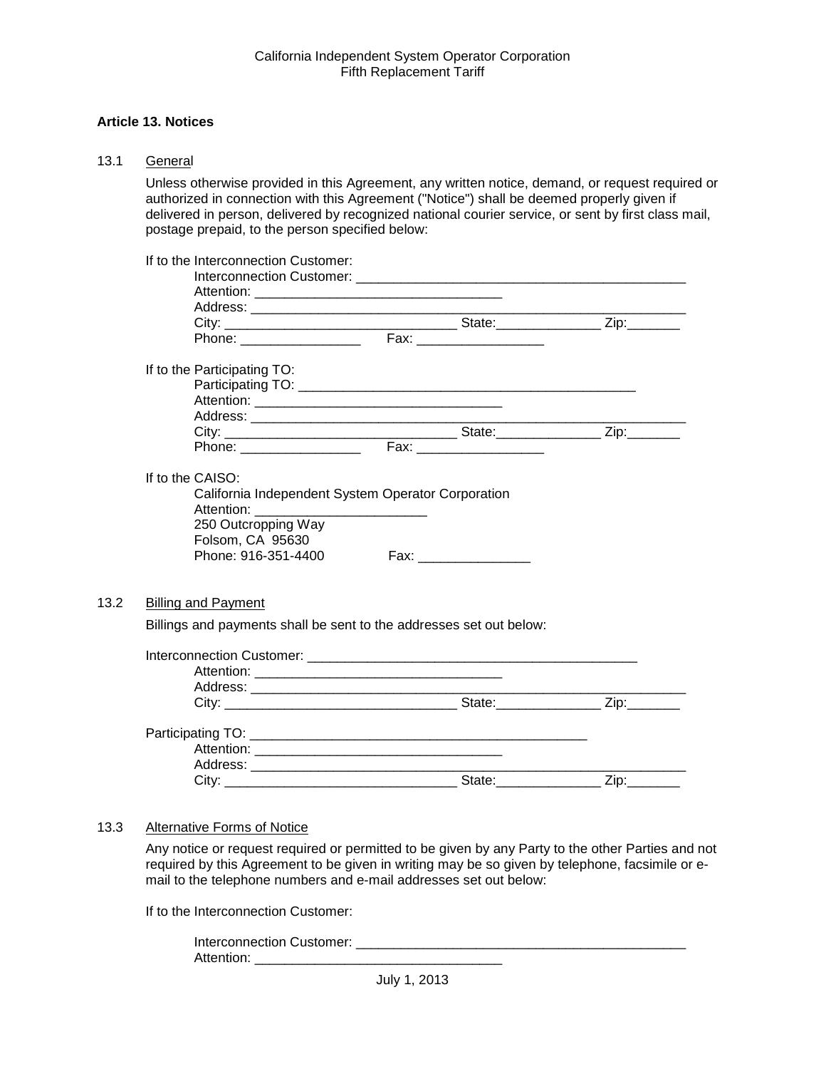#### <span id="page-25-0"></span>**Article 13. Notices**

<span id="page-25-1"></span>

<span id="page-25-2"></span> $13.2$ 

Unless otherwise provided in this Agreement, any written notice, demand, or request required or authorized in connection with this Agreement ("Notice") shall be deemed properly given if delivered in person, delivered by recognized national courier service, or sent by first class mail, postage prepaid, to the person specified below:

| If to the Interconnection Customer:                                 |                                                    |  |
|---------------------------------------------------------------------|----------------------------------------------------|--|
|                                                                     |                                                    |  |
|                                                                     |                                                    |  |
|                                                                     |                                                    |  |
|                                                                     |                                                    |  |
| If to the Participating TO:                                         |                                                    |  |
|                                                                     |                                                    |  |
|                                                                     |                                                    |  |
|                                                                     |                                                    |  |
|                                                                     |                                                    |  |
|                                                                     |                                                    |  |
| If to the CAISO:                                                    |                                                    |  |
|                                                                     | California Independent System Operator Corporation |  |
|                                                                     |                                                    |  |
| 250 Outcropping Way                                                 |                                                    |  |
| Folsom, CA 95630                                                    |                                                    |  |
| Phone: 916-351-4400                                                 |                                                    |  |
|                                                                     |                                                    |  |
|                                                                     |                                                    |  |
| <b>Billing and Payment</b>                                          |                                                    |  |
| Billings and payments shall be sent to the addresses set out below: |                                                    |  |
|                                                                     |                                                    |  |
|                                                                     |                                                    |  |
|                                                                     |                                                    |  |
|                                                                     |                                                    |  |
|                                                                     |                                                    |  |
|                                                                     |                                                    |  |
|                                                                     |                                                    |  |
|                                                                     |                                                    |  |
|                                                                     |                                                    |  |

#### <span id="page-25-3"></span>13.3 Alternative Forms of Notice

Any notice or request required or permitted to be given by any Party to the other Parties and not required by this Agreement to be given in writing may be so given by telephone, facsimile or email to the telephone numbers and e-mail addresses set out below:

If to the Interconnection Customer:

| Interconnection Customer: |  |
|---------------------------|--|
| Attention:                |  |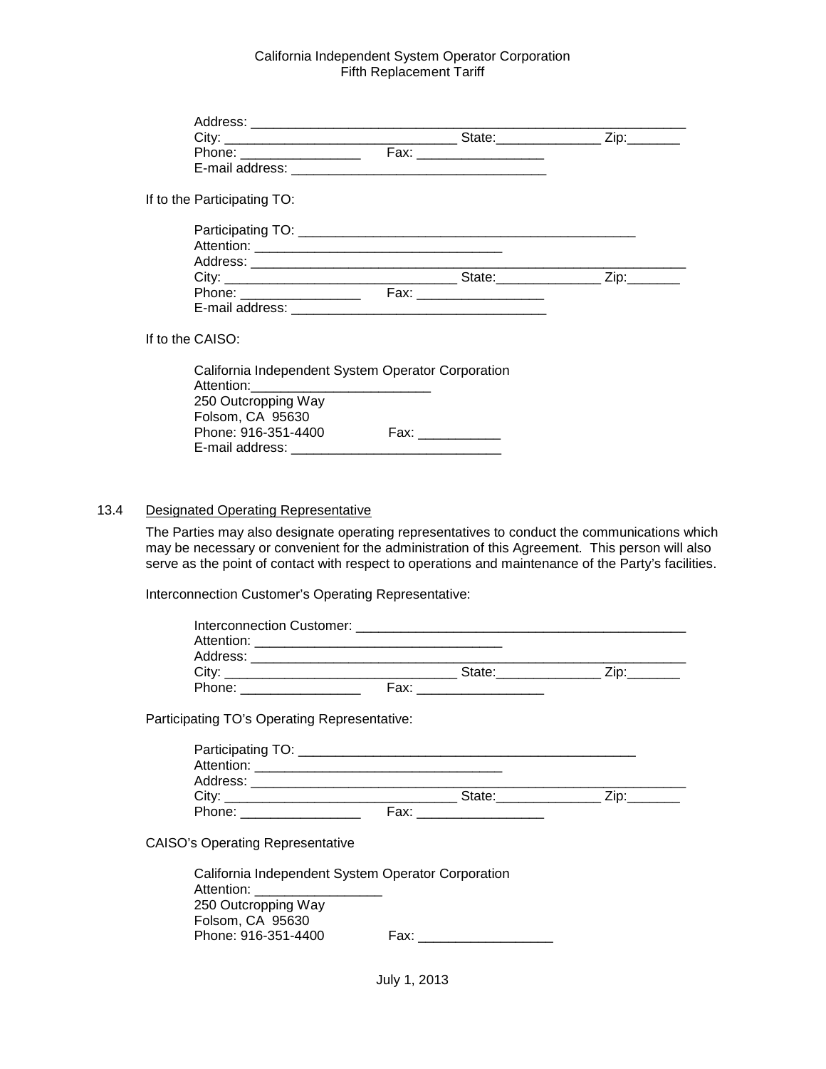| Phone: ___________________  |                                                    | Fax: ________________________ |  |
|-----------------------------|----------------------------------------------------|-------------------------------|--|
|                             |                                                    |                               |  |
| If to the Participating TO: |                                                    |                               |  |
|                             |                                                    |                               |  |
|                             |                                                    |                               |  |
|                             |                                                    |                               |  |
|                             |                                                    |                               |  |
|                             |                                                    |                               |  |
|                             |                                                    |                               |  |
| If to the CAISO:            |                                                    |                               |  |
|                             | California Independent System Operator Corporation |                               |  |
| 250 Outcropping Way         |                                                    |                               |  |
| Folsom CA 95630             |                                                    |                               |  |

| Folsom, CA 95630    |      |
|---------------------|------|
| Phone: 916-351-4400 | Fax: |
| E-mail address:     |      |
|                     |      |

#### <span id="page-26-0"></span>13.4 Designated Operating Representative

The Parties may also designate operating representatives to conduct the communications which may be necessary or convenient for the administration of this Agreement. This person will also serve as the point of contact with respect to operations and maintenance of the Party's facilities.

Interconnection Customer's Operating Representative:

| Interconnection Customer: Note that the set of the set of the set of the set of the set of the set of the set o |      |        |  |
|-----------------------------------------------------------------------------------------------------------------|------|--------|--|
| Attention:                                                                                                      |      |        |  |
| Address:                                                                                                        |      |        |  |
| City:                                                                                                           |      | State: |  |
| Phone:                                                                                                          | Fax: |        |  |

Participating TO's Operating Representative:

| Participating TO: |      |        |     |
|-------------------|------|--------|-----|
| Attention:        |      |        |     |
| Address:          |      |        |     |
| Citv:             |      | State: | ïo: |
| Phone:            | Fax: |        |     |

CAISO's Operating Representative

| California Independent System Operator Corporation |      |
|----------------------------------------------------|------|
| Attention:                                         |      |
| 250 Outcropping Way                                |      |
| Folsom, CA 95630                                   |      |
| Phone: 916-351-4400                                | Fax: |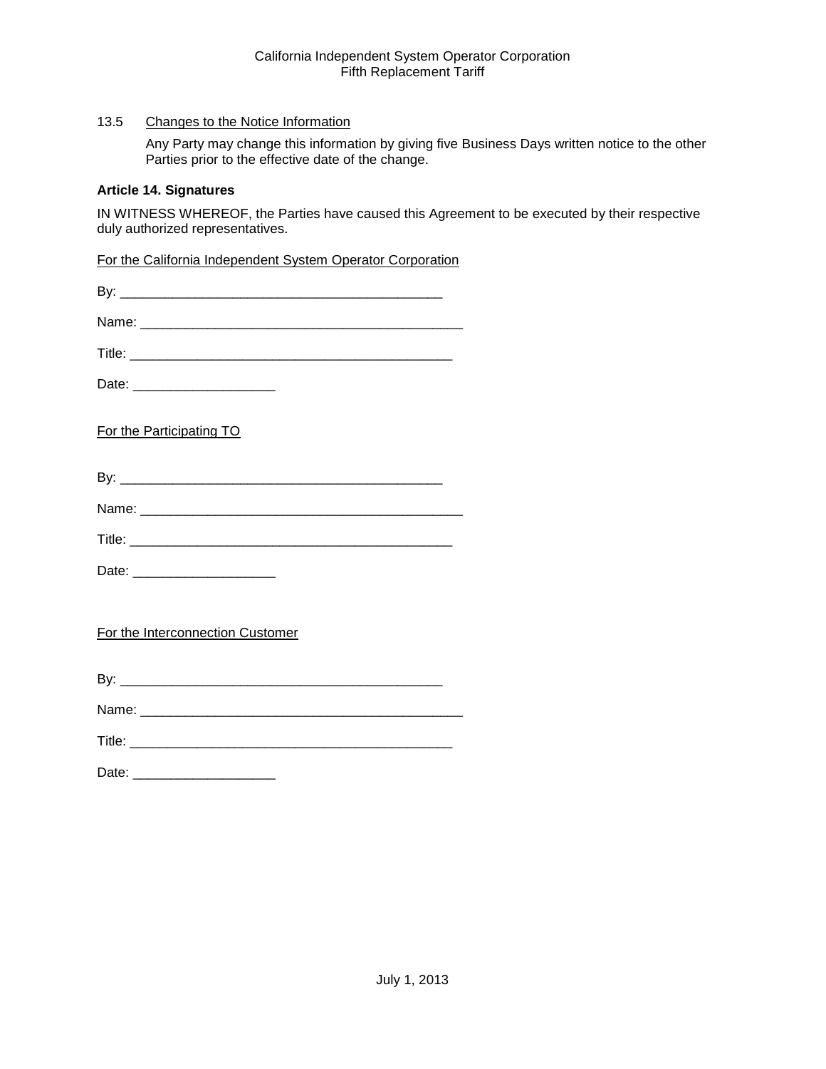# <span id="page-27-0"></span>13.5 Changes to the Notice Information

Any Party may change this information by giving five Business Days written notice to the other Parties prior to the effective date of the change.

#### <span id="page-27-1"></span>**Article 14. Signatures**

IN WITNESS WHEREOF, the Parties have caused this Agreement to be executed by their respective duly authorized representatives.

For the California Independent System Operator Corporation

| Date: ________________________   |  |  |
|----------------------------------|--|--|
| For the Participating TO         |  |  |
|                                  |  |  |
|                                  |  |  |
|                                  |  |  |
| Date: _________________________  |  |  |
| For the Interconnection Customer |  |  |
|                                  |  |  |
|                                  |  |  |
|                                  |  |  |
|                                  |  |  |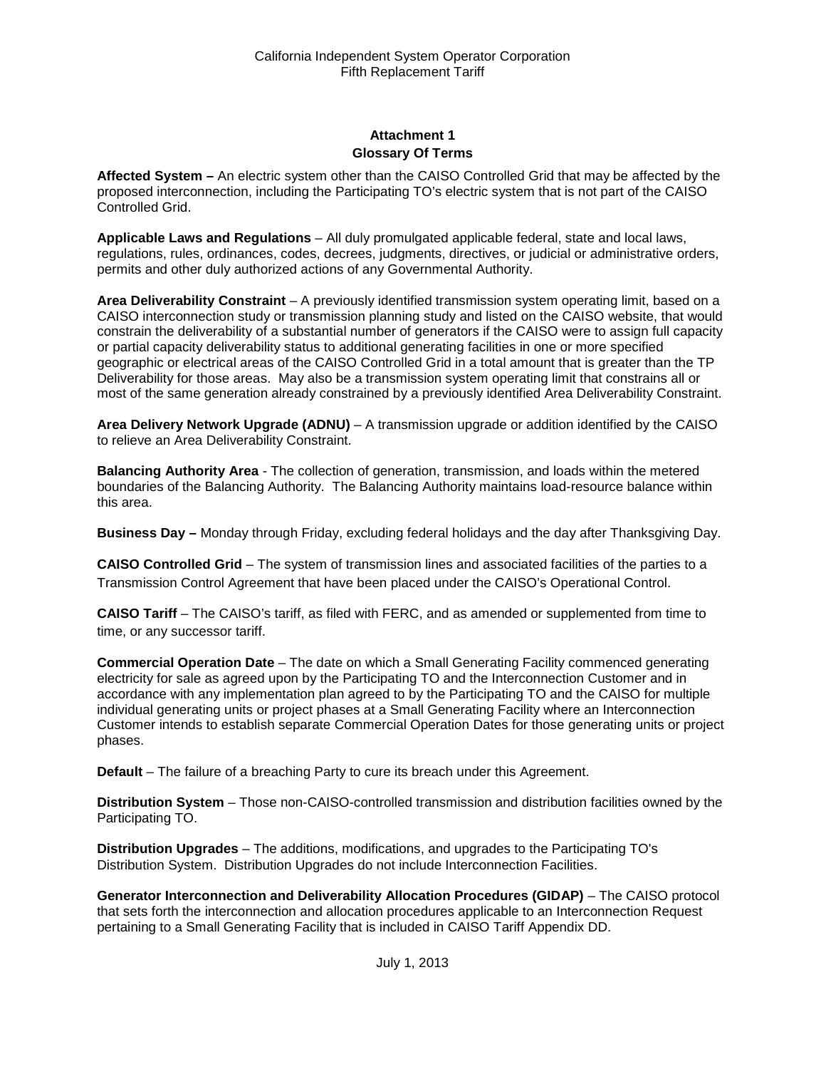# **Attachment 1 Glossary Of Terms**

<span id="page-28-1"></span><span id="page-28-0"></span>**Affected System –** An electric system other than the CAISO Controlled Grid that may be affected by the proposed interconnection, including the Participating TO's electric system that is not part of the CAISO Controlled Grid.

**Applicable Laws and Regulations** – All duly promulgated applicable federal, state and local laws, regulations, rules, ordinances, codes, decrees, judgments, directives, or judicial or administrative orders, permits and other duly authorized actions of any Governmental Authority.

**Area Deliverability Constraint** – A previously identified transmission system operating limit, based on a CAISO interconnection study or transmission planning study and listed on the CAISO website, that would constrain the deliverability of a substantial number of generators if the CAISO were to assign full capacity or partial capacity deliverability status to additional generating facilities in one or more specified geographic or electrical areas of the CAISO Controlled Grid in a total amount that is greater than the TP Deliverability for those areas. May also be a transmission system operating limit that constrains all or most of the same generation already constrained by a previously identified Area Deliverability Constraint.

**Area Delivery Network Upgrade (ADNU)** – A transmission upgrade or addition identified by the CAISO to relieve an Area Deliverability Constraint.

**Balancing Authority Area** - The collection of generation, transmission, and loads within the metered boundaries of the Balancing Authority. The Balancing Authority maintains load-resource balance within this area.

**Business Day –** Monday through Friday, excluding federal holidays and the day after Thanksgiving Day.

**CAISO Controlled Grid** – The system of transmission lines and associated facilities of the parties to a Transmission Control Agreement that have been placed under the CAISO's Operational Control.

**CAISO Tariff** – The CAISO's tariff, as filed with FERC, and as amended or supplemented from time to time, or any successor tariff.

**Commercial Operation Date** – The date on which a Small Generating Facility commenced generating electricity for sale as agreed upon by the Participating TO and the Interconnection Customer and in accordance with any implementation plan agreed to by the Participating TO and the CAISO for multiple individual generating units or project phases at a Small Generating Facility where an Interconnection Customer intends to establish separate Commercial Operation Dates for those generating units or project phases.

**Default** – The failure of a breaching Party to cure its breach under this Agreement.

**Distribution System** – Those non-CAISO-controlled transmission and distribution facilities owned by the Participating TO.

**Distribution Upgrades** – The additions, modifications, and upgrades to the Participating TO's Distribution System. Distribution Upgrades do not include Interconnection Facilities.

**Generator Interconnection and Deliverability Allocation Procedures (GIDAP)** – The CAISO protocol that sets forth the interconnection and allocation procedures applicable to an Interconnection Request pertaining to a Small Generating Facility that is included in CAISO Tariff Appendix DD.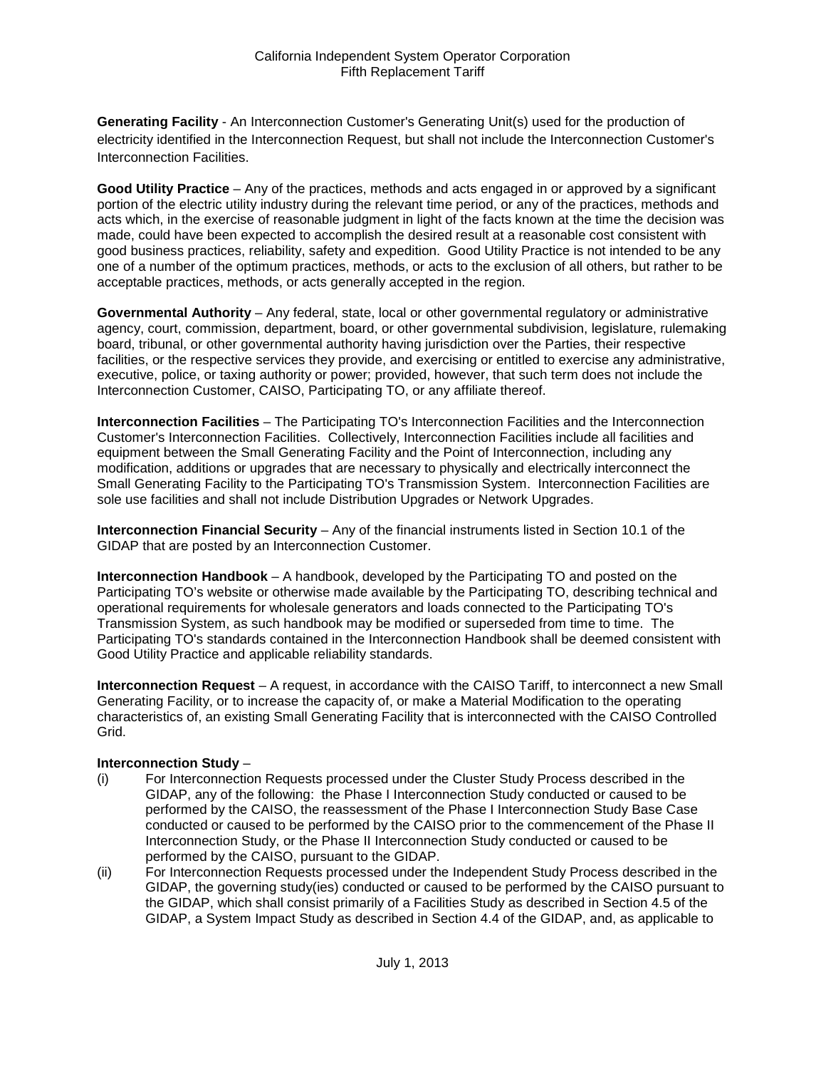**Generating Facility** - An Interconnection Customer's Generating Unit(s) used for the production of electricity identified in the Interconnection Request, but shall not include the Interconnection Customer's Interconnection Facilities.

**Good Utility Practice** – Any of the practices, methods and acts engaged in or approved by a significant portion of the electric utility industry during the relevant time period, or any of the practices, methods and acts which, in the exercise of reasonable judgment in light of the facts known at the time the decision was made, could have been expected to accomplish the desired result at a reasonable cost consistent with good business practices, reliability, safety and expedition. Good Utility Practice is not intended to be any one of a number of the optimum practices, methods, or acts to the exclusion of all others, but rather to be acceptable practices, methods, or acts generally accepted in the region.

**Governmental Authority** – Any federal, state, local or other governmental regulatory or administrative agency, court, commission, department, board, or other governmental subdivision, legislature, rulemaking board, tribunal, or other governmental authority having jurisdiction over the Parties, their respective facilities, or the respective services they provide, and exercising or entitled to exercise any administrative, executive, police, or taxing authority or power; provided, however, that such term does not include the Interconnection Customer, CAISO, Participating TO, or any affiliate thereof.

**Interconnection Facilities** – The Participating TO's Interconnection Facilities and the Interconnection Customer's Interconnection Facilities. Collectively, Interconnection Facilities include all facilities and equipment between the Small Generating Facility and the Point of Interconnection, including any modification, additions or upgrades that are necessary to physically and electrically interconnect the Small Generating Facility to the Participating TO's Transmission System. Interconnection Facilities are sole use facilities and shall not include Distribution Upgrades or Network Upgrades.

**Interconnection Financial Security** – Any of the financial instruments listed in Section 10.1 of the GIDAP that are posted by an Interconnection Customer.

**Interconnection Handbook** – A handbook, developed by the Participating TO and posted on the Participating TO's website or otherwise made available by the Participating TO, describing technical and operational requirements for wholesale generators and loads connected to the Participating TO's Transmission System, as such handbook may be modified or superseded from time to time. The Participating TO's standards contained in the Interconnection Handbook shall be deemed consistent with Good Utility Practice and applicable reliability standards.

**Interconnection Request** – A request, in accordance with the CAISO Tariff, to interconnect a new Small Generating Facility, or to increase the capacity of, or make a Material Modification to the operating characteristics of, an existing Small Generating Facility that is interconnected with the CAISO Controlled Grid.

#### **Interconnection Study** –

- (i) For Interconnection Requests processed under the Cluster Study Process described in the GIDAP, any of the following: the Phase I Interconnection Study conducted or caused to be performed by the CAISO, the reassessment of the Phase I Interconnection Study Base Case conducted or caused to be performed by the CAISO prior to the commencement of the Phase II Interconnection Study, or the Phase II Interconnection Study conducted or caused to be performed by the CAISO, pursuant to the GIDAP.
- (ii) For Interconnection Requests processed under the Independent Study Process described in the GIDAP, the governing study(ies) conducted or caused to be performed by the CAISO pursuant to the GIDAP, which shall consist primarily of a Facilities Study as described in Section 4.5 of the GIDAP, a System Impact Study as described in Section 4.4 of the GIDAP, and, as applicable to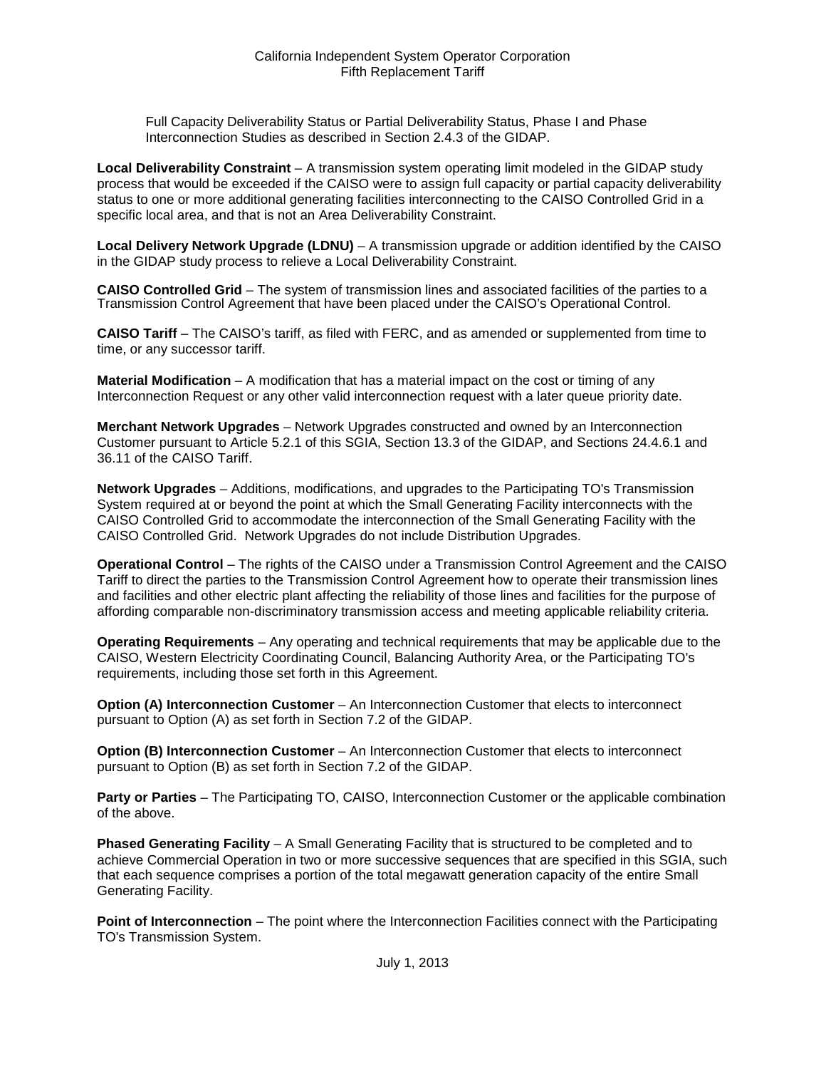Full Capacity Deliverability Status or Partial Deliverability Status, Phase I and Phase Interconnection Studies as described in Section 2.4.3 of the GIDAP.

**Local Deliverability Constraint** – A transmission system operating limit modeled in the GIDAP study process that would be exceeded if the CAISO were to assign full capacity or partial capacity deliverability status to one or more additional generating facilities interconnecting to the CAISO Controlled Grid in a specific local area, and that is not an Area Deliverability Constraint.

**Local Delivery Network Upgrade (LDNU)** – A transmission upgrade or addition identified by the CAISO in the GIDAP study process to relieve a Local Deliverability Constraint.

**CAISO Controlled Grid** – The system of transmission lines and associated facilities of the parties to a Transmission Control Agreement that have been placed under the CAISO's Operational Control.

**CAISO Tariff** – The CAISO's tariff, as filed with FERC, and as amended or supplemented from time to time, or any successor tariff.

**Material Modification** – A modification that has a material impact on the cost or timing of any Interconnection Request or any other valid interconnection request with a later queue priority date.

**Merchant Network Upgrades** – Network Upgrades constructed and owned by an Interconnection Customer pursuant to Article 5.2.1 of this SGIA, Section 13.3 of the GIDAP, and Sections 24.4.6.1 and 36.11 of the CAISO Tariff.

**Network Upgrades** – Additions, modifications, and upgrades to the Participating TO's Transmission System required at or beyond the point at which the Small Generating Facility interconnects with the CAISO Controlled Grid to accommodate the interconnection of the Small Generating Facility with the CAISO Controlled Grid. Network Upgrades do not include Distribution Upgrades.

**Operational Control** – The rights of the CAISO under a Transmission Control Agreement and the CAISO Tariff to direct the parties to the Transmission Control Agreement how to operate their transmission lines and facilities and other electric plant affecting the reliability of those lines and facilities for the purpose of affording comparable non-discriminatory transmission access and meeting applicable reliability criteria.

**Operating Requirements** – Any operating and technical requirements that may be applicable due to the CAISO, Western Electricity Coordinating Council, Balancing Authority Area, or the Participating TO's requirements, including those set forth in this Agreement.

**Option (A) Interconnection Customer** – An Interconnection Customer that elects to interconnect pursuant to Option (A) as set forth in Section 7.2 of the GIDAP.

**Option (B) Interconnection Customer** – An Interconnection Customer that elects to interconnect pursuant to Option (B) as set forth in Section 7.2 of the GIDAP.

**Party or Parties** – The Participating TO, CAISO, Interconnection Customer or the applicable combination of the above.

**Phased Generating Facility** – A Small Generating Facility that is structured to be completed and to achieve Commercial Operation in two or more successive sequences that are specified in this SGIA, such that each sequence comprises a portion of the total megawatt generation capacity of the entire Small Generating Facility.

**Point of Interconnection** – The point where the Interconnection Facilities connect with the Participating TO's Transmission System.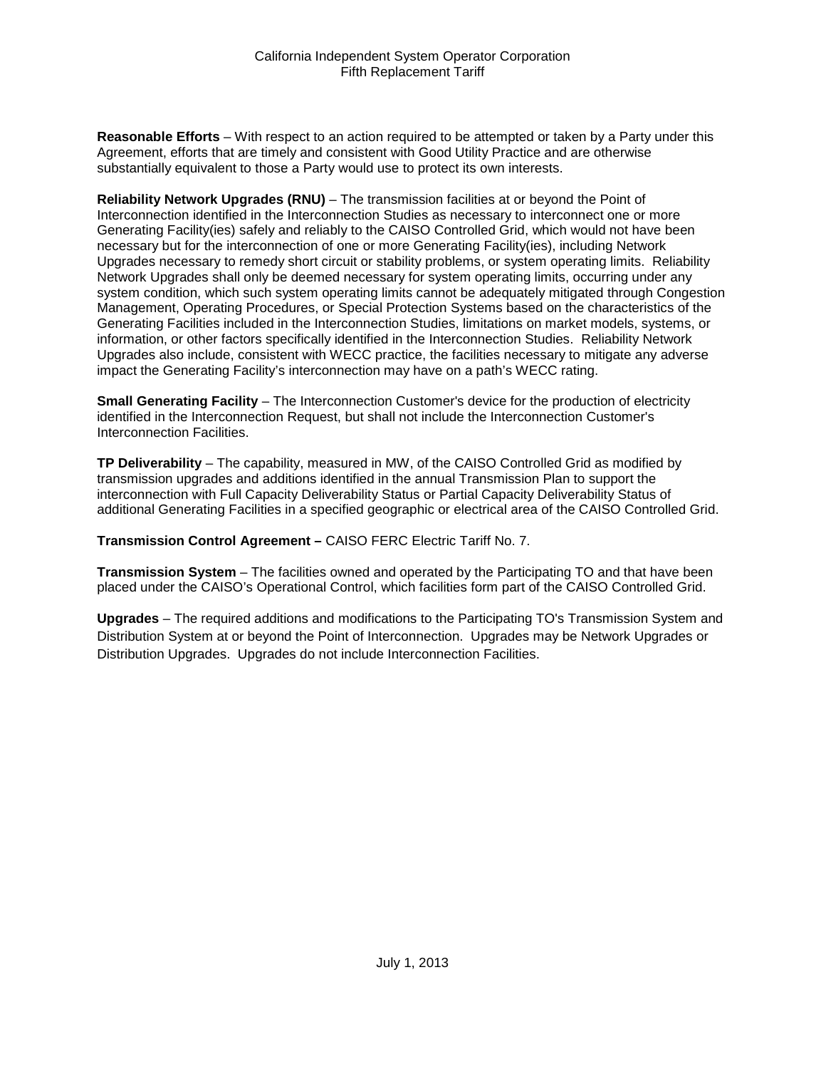**Reasonable Efforts** – With respect to an action required to be attempted or taken by a Party under this Agreement, efforts that are timely and consistent with Good Utility Practice and are otherwise substantially equivalent to those a Party would use to protect its own interests.

**Reliability Network Upgrades (RNU)** – The transmission facilities at or beyond the Point of Interconnection identified in the Interconnection Studies as necessary to interconnect one or more Generating Facility(ies) safely and reliably to the CAISO Controlled Grid, which would not have been necessary but for the interconnection of one or more Generating Facility(ies), including Network Upgrades necessary to remedy short circuit or stability problems, or system operating limits. Reliability Network Upgrades shall only be deemed necessary for system operating limits, occurring under any system condition, which such system operating limits cannot be adequately mitigated through Congestion Management, Operating Procedures, or Special Protection Systems based on the characteristics of the Generating Facilities included in the Interconnection Studies, limitations on market models, systems, or information, or other factors specifically identified in the Interconnection Studies. Reliability Network Upgrades also include, consistent with WECC practice, the facilities necessary to mitigate any adverse impact the Generating Facility's interconnection may have on a path's WECC rating.

**Small Generating Facility** – The Interconnection Customer's device for the production of electricity identified in the Interconnection Request, but shall not include the Interconnection Customer's Interconnection Facilities.

**TP Deliverability** – The capability, measured in MW, of the CAISO Controlled Grid as modified by transmission upgrades and additions identified in the annual Transmission Plan to support the interconnection with Full Capacity Deliverability Status or Partial Capacity Deliverability Status of additional Generating Facilities in a specified geographic or electrical area of the CAISO Controlled Grid.

**Transmission Control Agreement –** CAISO FERC Electric Tariff No. 7.

**Transmission System** – The facilities owned and operated by the Participating TO and that have been placed under the CAISO's Operational Control, which facilities form part of the CAISO Controlled Grid.

**Upgrades** – The required additions and modifications to the Participating TO's Transmission System and Distribution System at or beyond the Point of Interconnection. Upgrades may be Network Upgrades or Distribution Upgrades. Upgrades do not include Interconnection Facilities.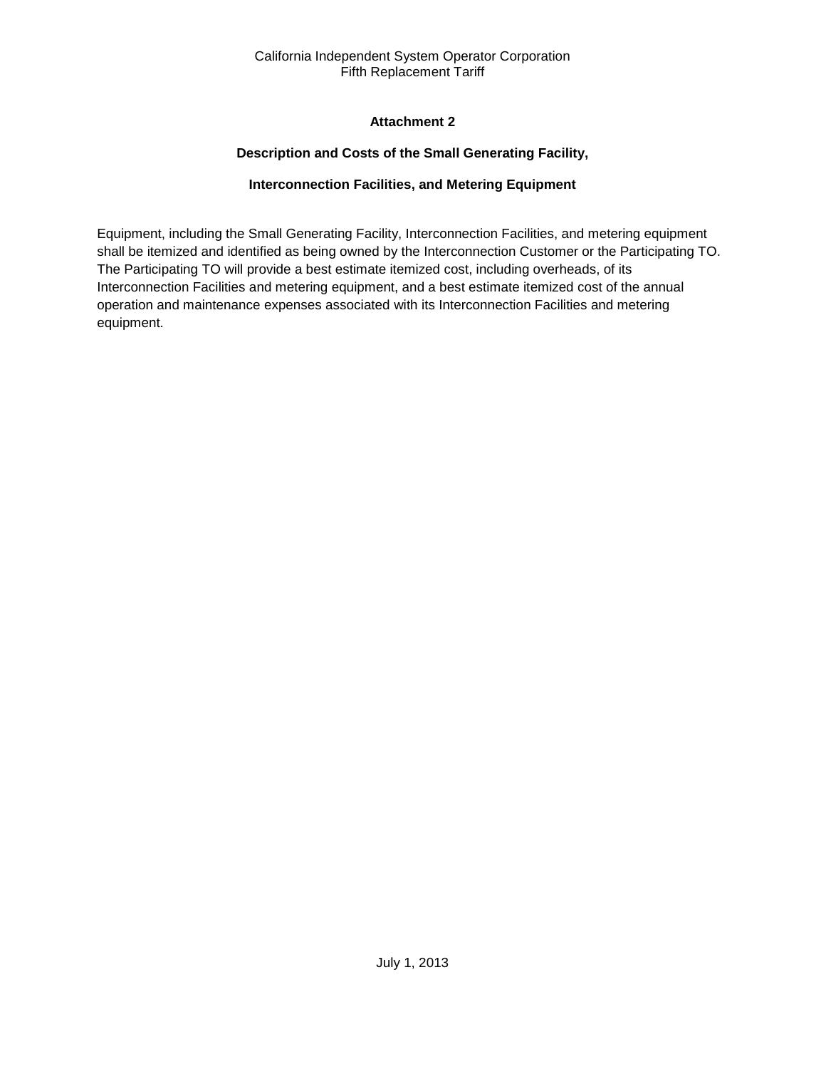# **Attachment 2**

# **Description and Costs of the Small Generating Facility,**

# **Interconnection Facilities, and Metering Equipment**

<span id="page-32-2"></span><span id="page-32-1"></span><span id="page-32-0"></span>Equipment, including the Small Generating Facility, Interconnection Facilities, and metering equipment shall be itemized and identified as being owned by the Interconnection Customer or the Participating TO. The Participating TO will provide a best estimate itemized cost, including overheads, of its Interconnection Facilities and metering equipment, and a best estimate itemized cost of the annual operation and maintenance expenses associated with its Interconnection Facilities and metering equipment.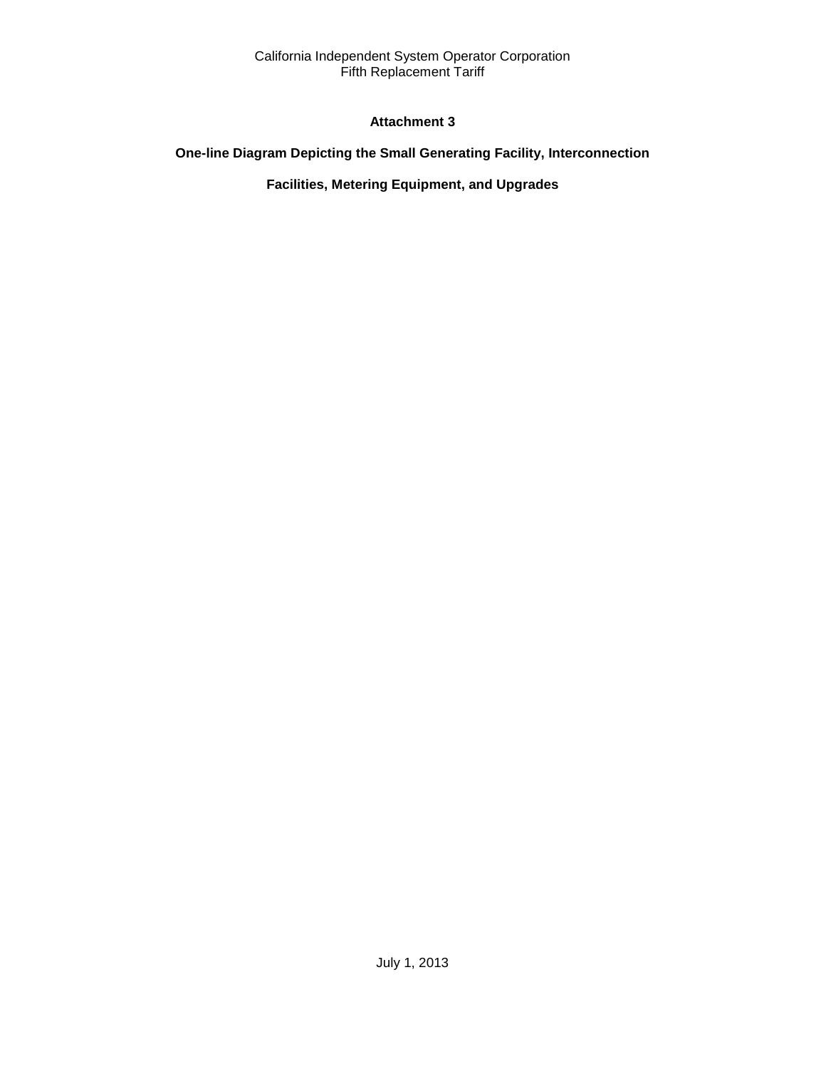# **Attachment 3**

# <span id="page-33-2"></span><span id="page-33-1"></span><span id="page-33-0"></span>**One-line Diagram Depicting the Small Generating Facility, Interconnection**

# **Facilities, Metering Equipment, and Upgrades**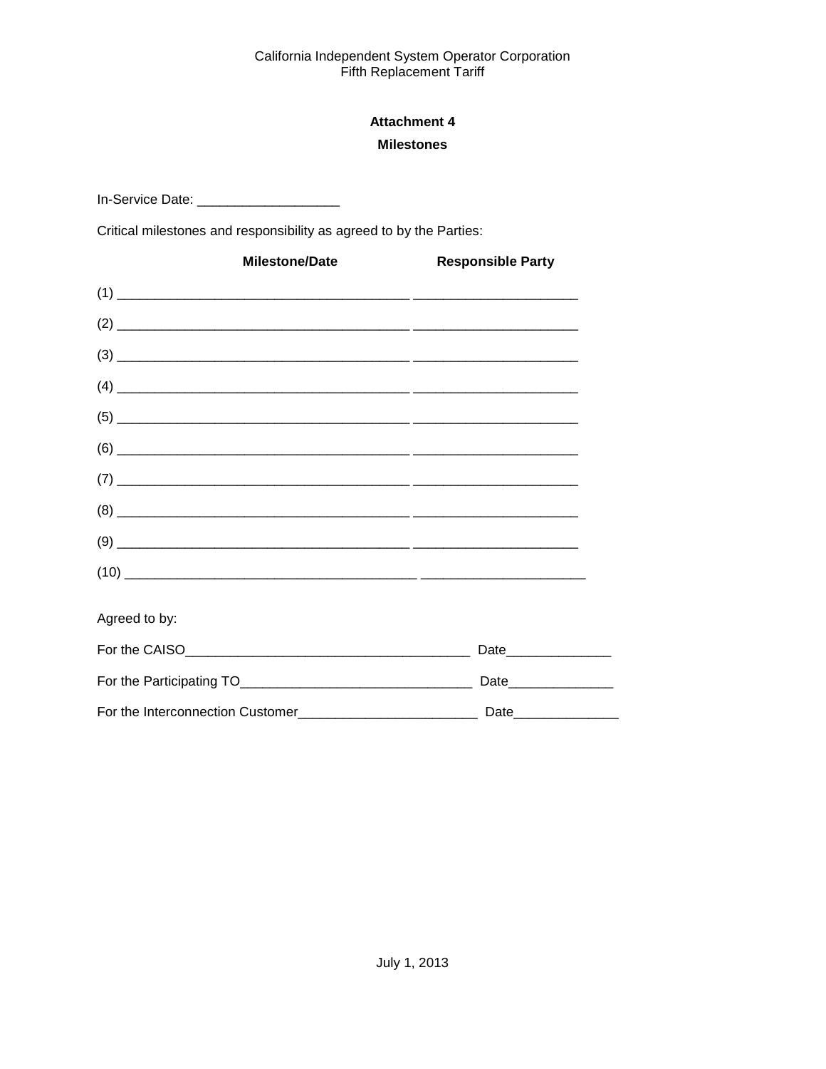# **Attachment 4 Milestones**

<span id="page-34-1"></span><span id="page-34-0"></span>In-Service Date: \_\_\_\_\_\_\_\_\_\_\_\_\_\_\_\_\_\_\_\_\_\_\_\_\_\_

Critical milestones and responsibility as agreed to by the Parties:

| <b>Milestone/Date</b> | <b>Responsible Party</b> |
|-----------------------|--------------------------|
|                       |                          |
|                       |                          |
|                       |                          |
|                       |                          |
|                       |                          |
|                       |                          |
|                       |                          |
|                       |                          |
|                       |                          |
|                       |                          |
| Agreed to by:         |                          |
|                       | Date________________     |
|                       | Date_______________      |
|                       |                          |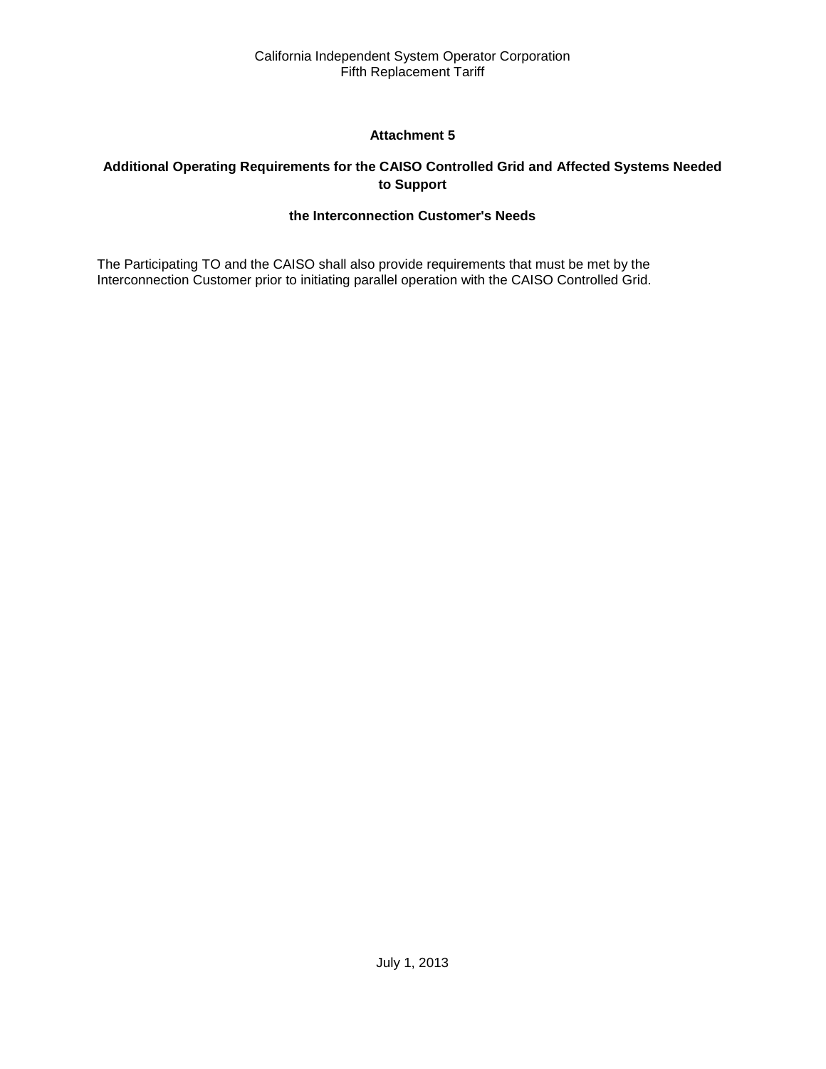# **Attachment 5**

# <span id="page-35-2"></span><span id="page-35-1"></span><span id="page-35-0"></span>**Additional Operating Requirements for the CAISO Controlled Grid and Affected Systems Needed to Support**

# **the Interconnection Customer's Needs**

The Participating TO and the CAISO shall also provide requirements that must be met by the Interconnection Customer prior to initiating parallel operation with the CAISO Controlled Grid.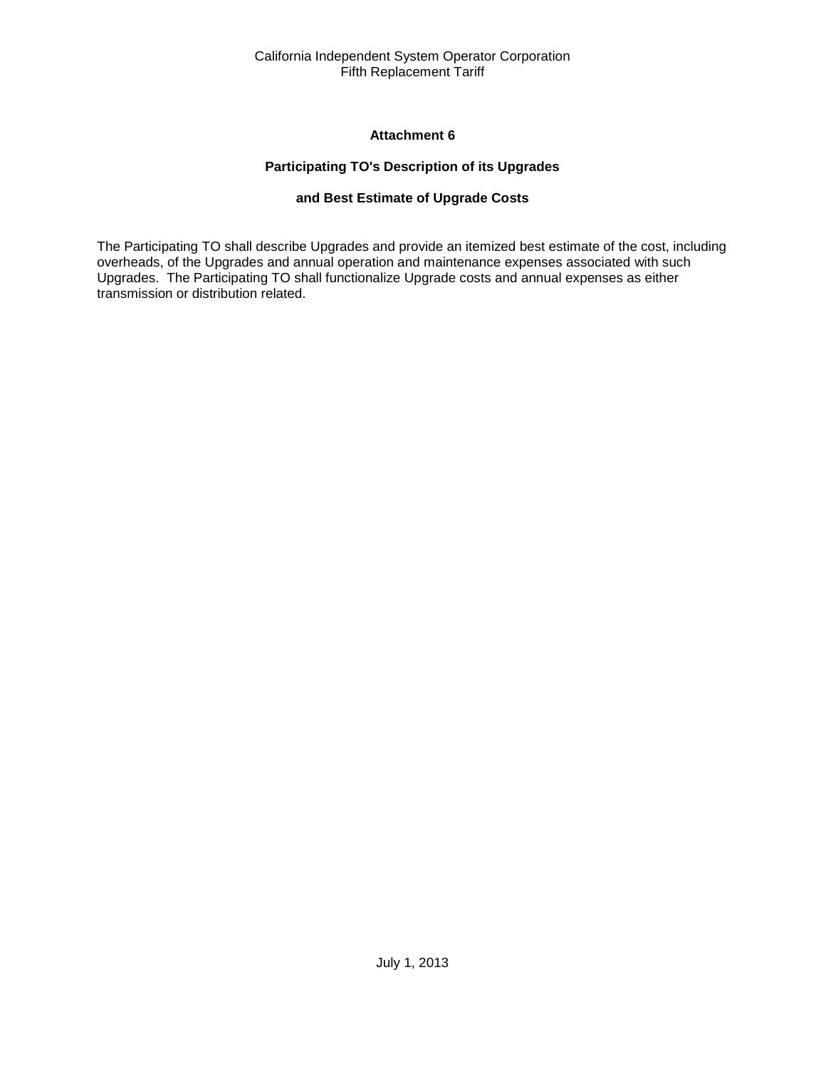# **Attachment 6**

# **Participating TO's Description of its Upgrades**

# **and Best Estimate of Upgrade Costs**

<span id="page-36-2"></span><span id="page-36-1"></span><span id="page-36-0"></span>The Participating TO shall describe Upgrades and provide an itemized best estimate of the cost, including overheads, of the Upgrades and annual operation and maintenance expenses associated with such Upgrades. The Participating TO shall functionalize Upgrade costs and annual expenses as either transmission or distribution related.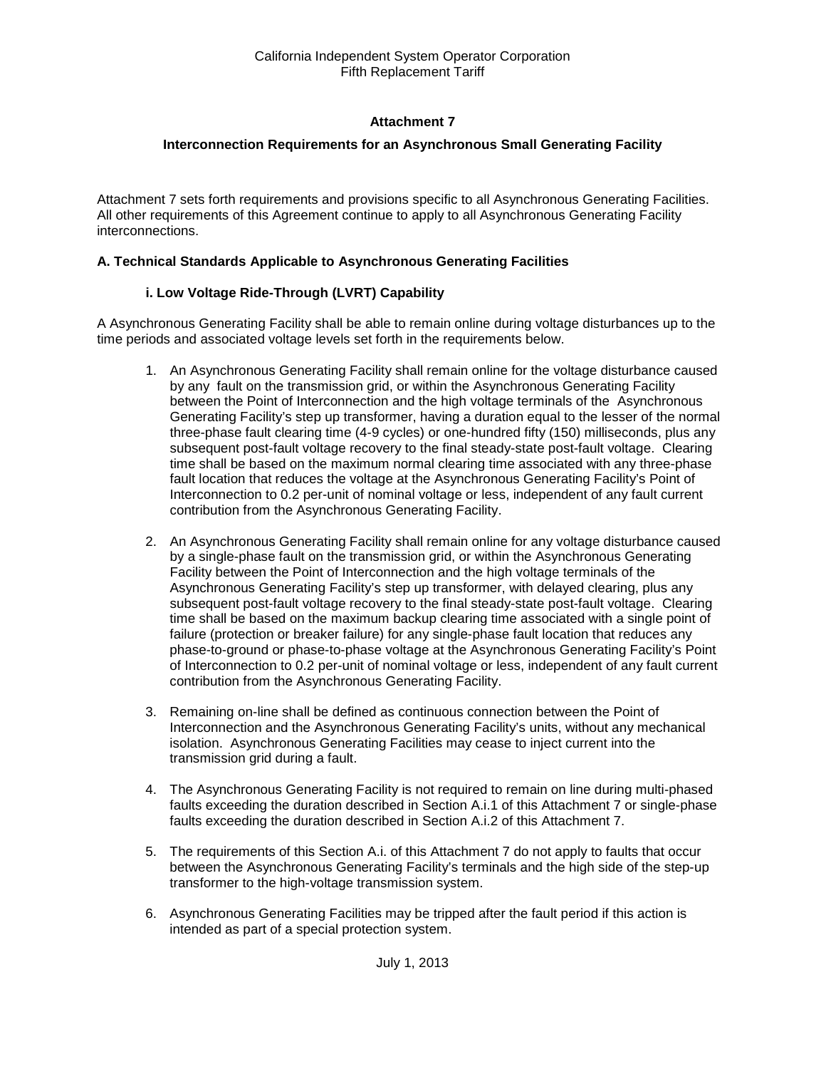# **Attachment 7**

### <span id="page-37-0"></span>**Interconnection Requirements for an Asynchronous Small Generating Facility**

<span id="page-37-1"></span>Attachment 7 sets forth requirements and provisions specific to all Asynchronous Generating Facilities. All other requirements of this Agreement continue to apply to all Asynchronous Generating Facility interconnections.

#### **A. Technical Standards Applicable to Asynchronous Generating Facilities**

#### **i. Low Voltage Ride-Through (LVRT) Capability**

A Asynchronous Generating Facility shall be able to remain online during voltage disturbances up to the time periods and associated voltage levels set forth in the requirements below.

- 1. An Asynchronous Generating Facility shall remain online for the voltage disturbance caused by any fault on the transmission grid, or within the Asynchronous Generating Facility between the Point of Interconnection and the high voltage terminals of the Asynchronous Generating Facility's step up transformer, having a duration equal to the lesser of the normal three-phase fault clearing time (4-9 cycles) or one-hundred fifty (150) milliseconds, plus any subsequent post-fault voltage recovery to the final steady-state post-fault voltage. Clearing time shall be based on the maximum normal clearing time associated with any three-phase fault location that reduces the voltage at the Asynchronous Generating Facility's Point of Interconnection to 0.2 per-unit of nominal voltage or less, independent of any fault current contribution from the Asynchronous Generating Facility.
- 2. An Asynchronous Generating Facility shall remain online for any voltage disturbance caused by a single-phase fault on the transmission grid, or within the Asynchronous Generating Facility between the Point of Interconnection and the high voltage terminals of the Asynchronous Generating Facility's step up transformer, with delayed clearing, plus any subsequent post-fault voltage recovery to the final steady-state post-fault voltage. Clearing time shall be based on the maximum backup clearing time associated with a single point of failure (protection or breaker failure) for any single-phase fault location that reduces any phase-to-ground or phase-to-phase voltage at the Asynchronous Generating Facility's Point of Interconnection to 0.2 per-unit of nominal voltage or less, independent of any fault current contribution from the Asynchronous Generating Facility.
- 3. Remaining on-line shall be defined as continuous connection between the Point of Interconnection and the Asynchronous Generating Facility's units, without any mechanical isolation. Asynchronous Generating Facilities may cease to inject current into the transmission grid during a fault.
- 4. The Asynchronous Generating Facility is not required to remain on line during multi-phased faults exceeding the duration described in Section A.i.1 of this Attachment 7 or single-phase faults exceeding the duration described in Section A.i.2 of this Attachment 7.
- 5. The requirements of this Section A.i. of this Attachment 7 do not apply to faults that occur between the Asynchronous Generating Facility's terminals and the high side of the step-up transformer to the high-voltage transmission system.
- 6. Asynchronous Generating Facilities may be tripped after the fault period if this action is intended as part of a special protection system.